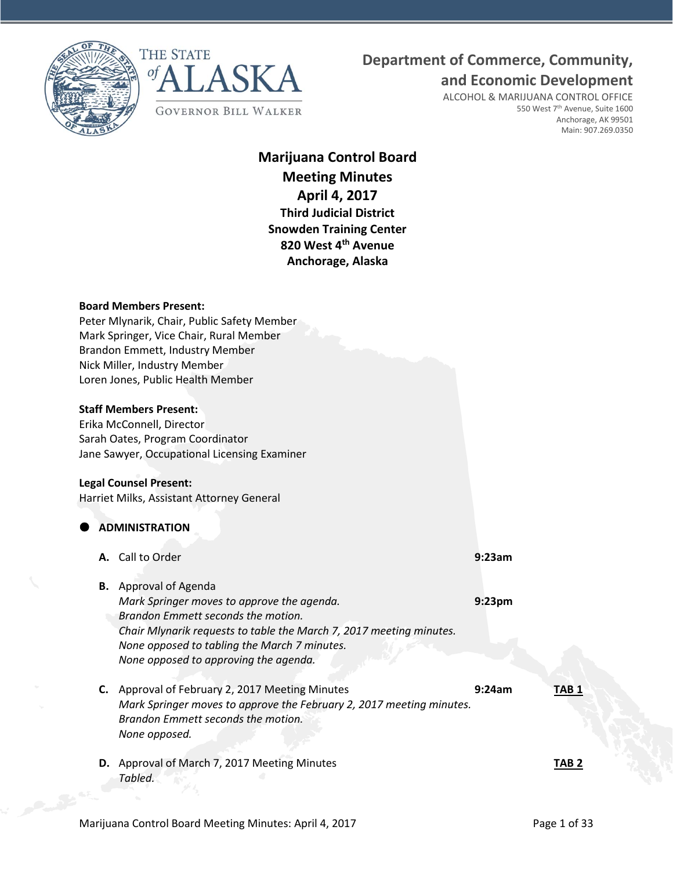



# **Department of Commerce, Community,**

**and Economic Development**

ALCOHOL & MARIJUANA CONTROL OFFICE 550 West 7<sup>th</sup> Avenue, Suite 1600 Anchorage, AK 99501 Main: 907.269.0350

# **Marijuana Control Board Meeting Minutes April 4, 2017 Third Judicial District Snowden Training Center 820 West 4th Avenue Anchorage, Alaska**

#### **Board Members Present:**

Peter Mlynarik, Chair, Public Safety Member Mark Springer, Vice Chair, Rural Member Brandon Emmett, Industry Member Nick Miller, Industry Member Loren Jones, Public Health Member

## **Staff Members Present:**

Erika McConnell, Director Sarah Oates, Program Coordinator Jane Sawyer, Occupational Licensing Examiner

#### **Legal Counsel Present:**

Harriet Milks, Assistant Attorney General

## **ADMINISTRATION**

- **A.** Call to Order **9:23am**
- **B.** Approval of Agenda *Mark Springer moves to approve the agenda.* **9:23pm** *Brandon Emmett seconds the motion. Chair Mlynarik requests to table the March 7, 2017 meeting minutes. None opposed to tabling the March 7 minutes. None opposed to approving the agenda.*
- **C.** Approval of February 2, 2017 Meeting Minutes **9:24am TAB 1** *Mark Springer moves to approve the February 2, 2017 meeting minutes. Brandon Emmett seconds the motion. None opposed.*
- **D.** Approval of March 7, 2017 Meeting Minutes **TAB 2** *Tabled.*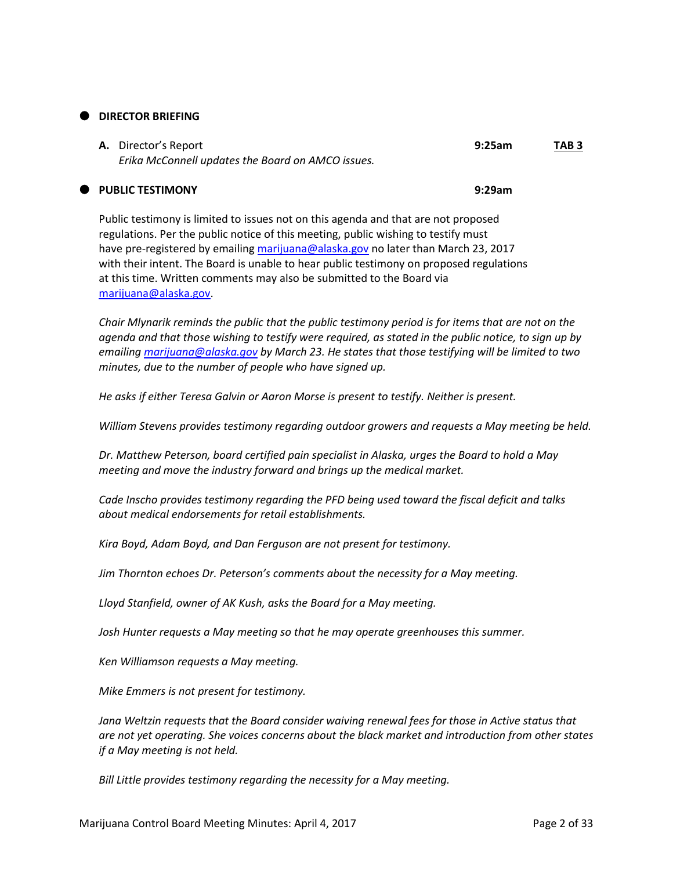## **DIRECTOR BRIEFING**

| <b>A.</b> Director's Report                       | 9:25am | TAB 3 |
|---------------------------------------------------|--------|-------|
| Erika McConnell updates the Board on AMCO issues. |        |       |

## **PUBLIC TESTIMONY 9:29am**

Public testimony is limited to issues not on this agenda and that are not proposed regulations. Per the public notice of this meeting, public wishing to testify must have pre-registered by emailing [marijuana@alaska.gov](mailto:marijuana@alaska.gov) no later than March 23, 2017 with their intent. The Board is unable to hear public testimony on proposed regulations at this time. Written comments may also be submitted to the Board via [marijuana@alaska.gov.](mailto:marijuana@alaska.gov)

*Chair Mlynarik reminds the public that the public testimony period is for items that are not on the agenda and that those wishing to testify were required, as stated in the public notice, to sign up by emailing [marijuana@alaska.gov](mailto:marijuana@alaska.gov) by March 23. He states that those testifying will be limited to two minutes, due to the number of people who have signed up.*

*He asks if either Teresa Galvin or Aaron Morse is present to testify. Neither is present.*

*William Stevens provides testimony regarding outdoor growers and requests a May meeting be held.*

*Dr. Matthew Peterson, board certified pain specialist in Alaska, urges the Board to hold a May meeting and move the industry forward and brings up the medical market.*

*Cade Inscho provides testimony regarding the PFD being used toward the fiscal deficit and talks about medical endorsements for retail establishments.*

*Kira Boyd, Adam Boyd, and Dan Ferguson are not present for testimony.*

*Jim Thornton echoes Dr. Peterson's comments about the necessity for a May meeting.*

*Lloyd Stanfield, owner of AK Kush, asks the Board for a May meeting.*

*Josh Hunter requests a May meeting so that he may operate greenhouses this summer.*

*Ken Williamson requests a May meeting.*

*Mike Emmers is not present for testimony.*

*Jana Weltzin requests that the Board consider waiving renewal fees for those in Active status that are not yet operating. She voices concerns about the black market and introduction from other states if a May meeting is not held.*

*Bill Little provides testimony regarding the necessity for a May meeting.*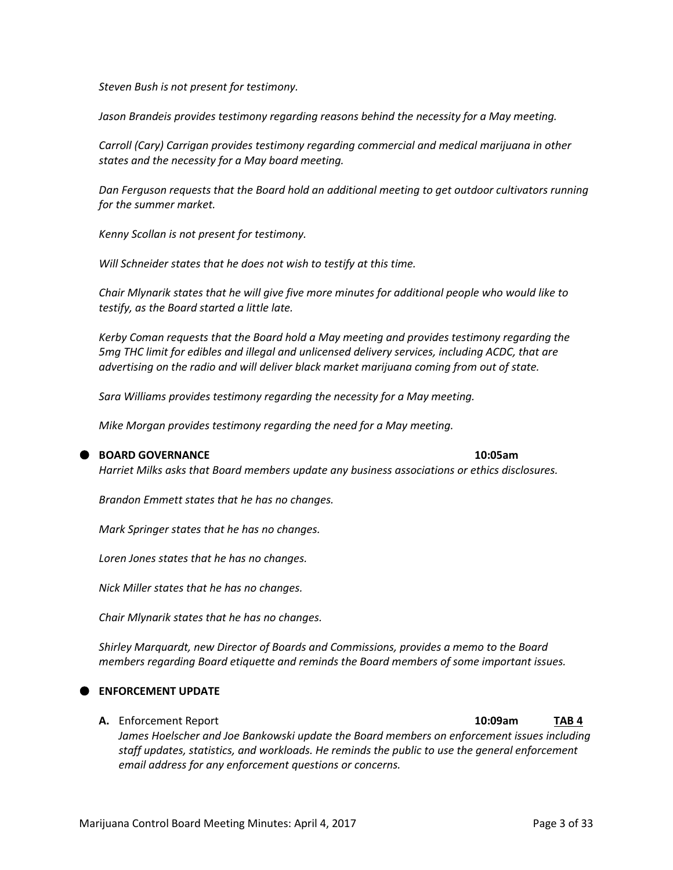*Steven Bush is not present for testimony.*

*Jason Brandeis provides testimony regarding reasons behind the necessity for a May meeting.*

*Carroll (Cary) Carrigan provides testimony regarding commercial and medical marijuana in other states and the necessity for a May board meeting.*

*Dan Ferguson requests that the Board hold an additional meeting to get outdoor cultivators running for the summer market.*

*Kenny Scollan is not present for testimony.*

*Will Schneider states that he does not wish to testify at this time.*

*Chair Mlynarik states that he will give five more minutes for additional people who would like to testify, as the Board started a little late.*

*Kerby Coman requests that the Board hold a May meeting and provides testimony regarding the 5mg THC limit for edibles and illegal and unlicensed delivery services, including ACDC, that are advertising on the radio and will deliver black market marijuana coming from out of state.*

*Sara Williams provides testimony regarding the necessity for a May meeting.*

*Mike Morgan provides testimony regarding the need for a May meeting.*

#### **BOARD GOVERNANCE 10:05am**

*Harriet Milks asks that Board members update any business associations or ethics disclosures.*

*Brandon Emmett states that he has no changes.*

*Mark Springer states that he has no changes.*

*Loren Jones states that he has no changes.*

*Nick Miller states that he has no changes.*

*Chair Mlynarik states that he has no changes.*

*Shirley Marquardt, new Director of Boards and Commissions, provides a memo to the Board members regarding Board etiquette and reminds the Board members of some important issues.*

### **ENFORCEMENT UPDATE**

**A.** Enforcement Report **10:09am TAB 4** *James Hoelscher and Joe Bankowski update the Board members on enforcement issues including* 

*staff updates, statistics, and workloads. He reminds the public to use the general enforcement email address for any enforcement questions or concerns.*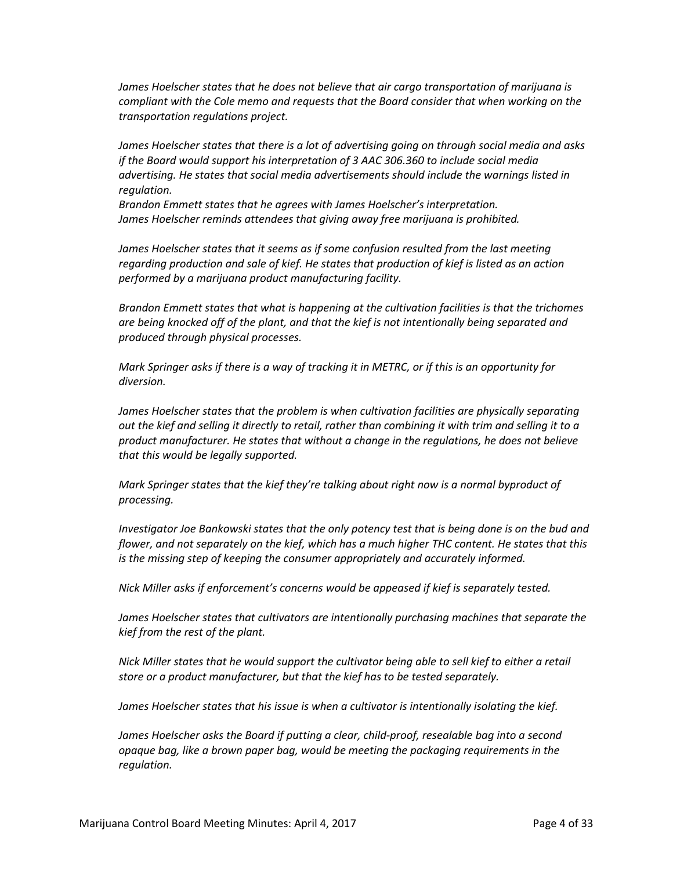*James Hoelscher states that he does not believe that air cargo transportation of marijuana is compliant with the Cole memo and requests that the Board consider that when working on the transportation regulations project.*

*James Hoelscher states that there is a lot of advertising going on through social media and asks if the Board would support his interpretation of 3 AAC 306.360 to include social media advertising. He states that social media advertisements should include the warnings listed in regulation.*

*Brandon Emmett states that he agrees with James Hoelscher's interpretation. James Hoelscher reminds attendees that giving away free marijuana is prohibited.*

*James Hoelscher states that it seems as if some confusion resulted from the last meeting regarding production and sale of kief. He states that production of kief is listed as an action performed by a marijuana product manufacturing facility.*

*Brandon Emmett states that what is happening at the cultivation facilities is that the trichomes are being knocked off of the plant, and that the kief is not intentionally being separated and produced through physical processes.*

*Mark Springer asks if there is a way of tracking it in METRC, or if this is an opportunity for diversion.*

*James Hoelscher states that the problem is when cultivation facilities are physically separating out the kief and selling it directly to retail, rather than combining it with trim and selling it to a product manufacturer. He states that without a change in the regulations, he does not believe that this would be legally supported.*

*Mark Springer states that the kief they're talking about right now is a normal byproduct of processing.*

*Investigator Joe Bankowski states that the only potency test that is being done is on the bud and flower, and not separately on the kief, which has a much higher THC content. He states that this is the missing step of keeping the consumer appropriately and accurately informed.*

*Nick Miller asks if enforcement's concerns would be appeased if kief is separately tested.*

*James Hoelscher states that cultivators are intentionally purchasing machines that separate the kief from the rest of the plant.*

*Nick Miller states that he would support the cultivator being able to sell kief to either a retail store or a product manufacturer, but that the kief has to be tested separately.*

*James Hoelscher states that his issue is when a cultivator is intentionally isolating the kief.*

*James Hoelscher asks the Board if putting a clear, child-proof, resealable bag into a second opaque bag, like a brown paper bag, would be meeting the packaging requirements in the regulation.*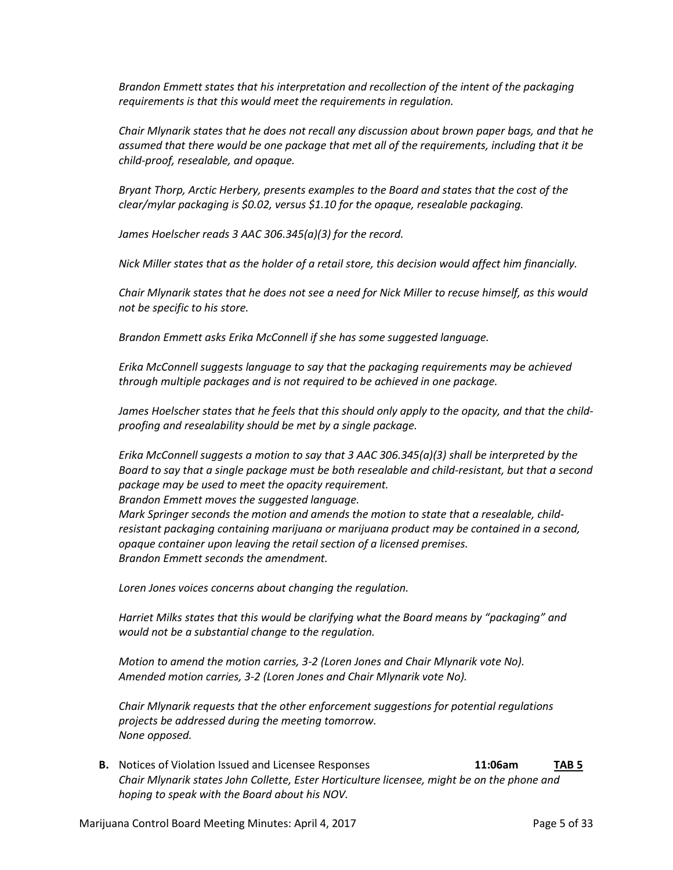*Brandon Emmett states that his interpretation and recollection of the intent of the packaging requirements is that this would meet the requirements in regulation.*

*Chair Mlynarik states that he does not recall any discussion about brown paper bags, and that he assumed that there would be one package that met all of the requirements, including that it be child-proof, resealable, and opaque.*

*Bryant Thorp, Arctic Herbery, presents examples to the Board and states that the cost of the clear/mylar packaging is \$0.02, versus \$1.10 for the opaque, resealable packaging.*

*James Hoelscher reads 3 AAC 306.345(a)(3) for the record.*

*Nick Miller states that as the holder of a retail store, this decision would affect him financially.*

*Chair Mlynarik states that he does not see a need for Nick Miller to recuse himself, as this would not be specific to his store.*

*Brandon Emmett asks Erika McConnell if she has some suggested language.*

*Erika McConnell suggests language to say that the packaging requirements may be achieved through multiple packages and is not required to be achieved in one package.*

*James Hoelscher states that he feels that this should only apply to the opacity, and that the childproofing and resealability should be met by a single package.*

*Erika McConnell suggests a motion to say that 3 AAC 306.345(a)(3) shall be interpreted by the Board to say that a single package must be both resealable and child-resistant, but that a second package may be used to meet the opacity requirement.*

*Brandon Emmett moves the suggested language.*

*Mark Springer seconds the motion and amends the motion to state that a resealable, childresistant packaging containing marijuana or marijuana product may be contained in a second, opaque container upon leaving the retail section of a licensed premises. Brandon Emmett seconds the amendment.*

*Loren Jones voices concerns about changing the regulation.*

*Harriet Milks states that this would be clarifying what the Board means by "packaging" and would not be a substantial change to the regulation.*

*Motion to amend the motion carries, 3-2 (Loren Jones and Chair Mlynarik vote No). Amended motion carries, 3-2 (Loren Jones and Chair Mlynarik vote No).*

*Chair Mlynarik requests that the other enforcement suggestions for potential regulations projects be addressed during the meeting tomorrow. None opposed.*

**B.** Notices of Violation Issued and Licensee Responses **11:06am TAB 5** *Chair Mlynarik states John Collette, Ester Horticulture licensee, might be on the phone and hoping to speak with the Board about his NOV.*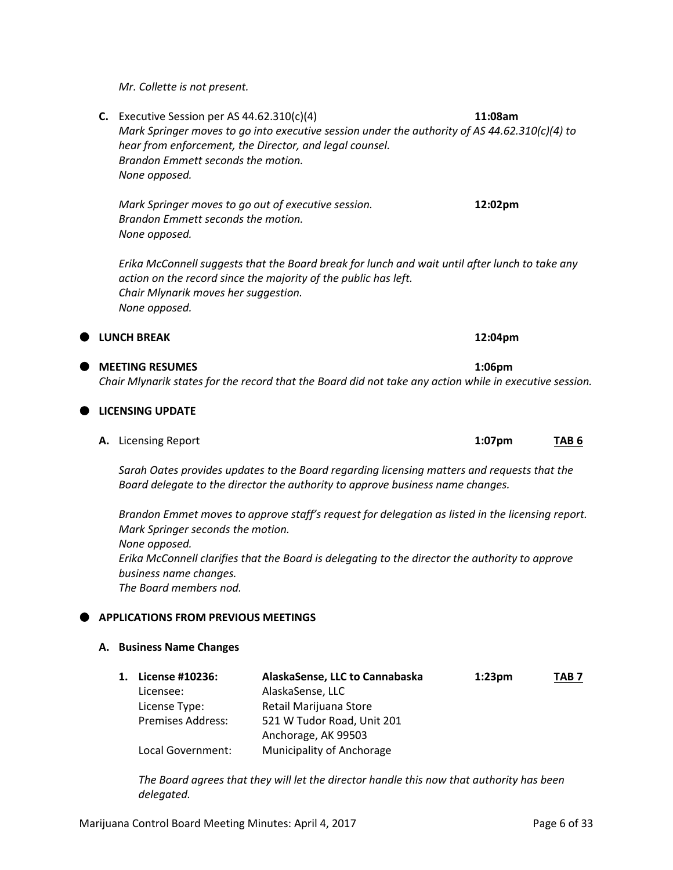*Mr. Collette is not present.*

**C.** Executive Session per AS 44.62.310(c)(4) **11:08am** *Mark Springer moves to go into executive session under the authority of AS 44.62.310(c)(4) to hear from enforcement, the Director, and legal counsel. Brandon Emmett seconds the motion. None opposed.*

*Mark Springer moves to go out of executive session.* **12:02pm** *Brandon Emmett seconds the motion. None opposed.*

*Erika McConnell suggests that the Board break for lunch and wait until after lunch to take any action on the record since the majority of the public has left. Chair Mlynarik moves her suggestion. None opposed.*

## **ILUNCH BREAK 12:04pm**

## **MEETING RESUMES 1:06pm** *Chair Mlynarik states for the record that the Board did not take any action while in executive session.*

| <b>LICENSING UPDATE</b> |  |
|-------------------------|--|
|-------------------------|--|

**A.** Licensing Report **1:07pm TAB 6**

*Sarah Oates provides updates to the Board regarding licensing matters and requests that the Board delegate to the director the authority to approve business name changes.*

*Brandon Emmet moves to approve staff's request for delegation as listed in the licensing report. Mark Springer seconds the motion. None opposed. Erika McConnell clarifies that the Board is delegating to the director the authority to approve business name changes. The Board members nod.*

## **APPLICATIONS FROM PREVIOUS MEETINGS**

## **A. Business Name Changes**

| 1. License #10236:       | AlaskaSense, LLC to Cannabaska | 1:23 <sub>pm</sub> | TAB <sub>7</sub> |
|--------------------------|--------------------------------|--------------------|------------------|
| Licensee:                | AlaskaSense, LLC               |                    |                  |
| License Type:            | Retail Marijuana Store         |                    |                  |
| <b>Premises Address:</b> | 521 W Tudor Road, Unit 201     |                    |                  |
|                          | Anchorage, AK 99503            |                    |                  |
| Local Government:        | Municipality of Anchorage      |                    |                  |

*The Board agrees that they will let the director handle this now that authority has been delegated.*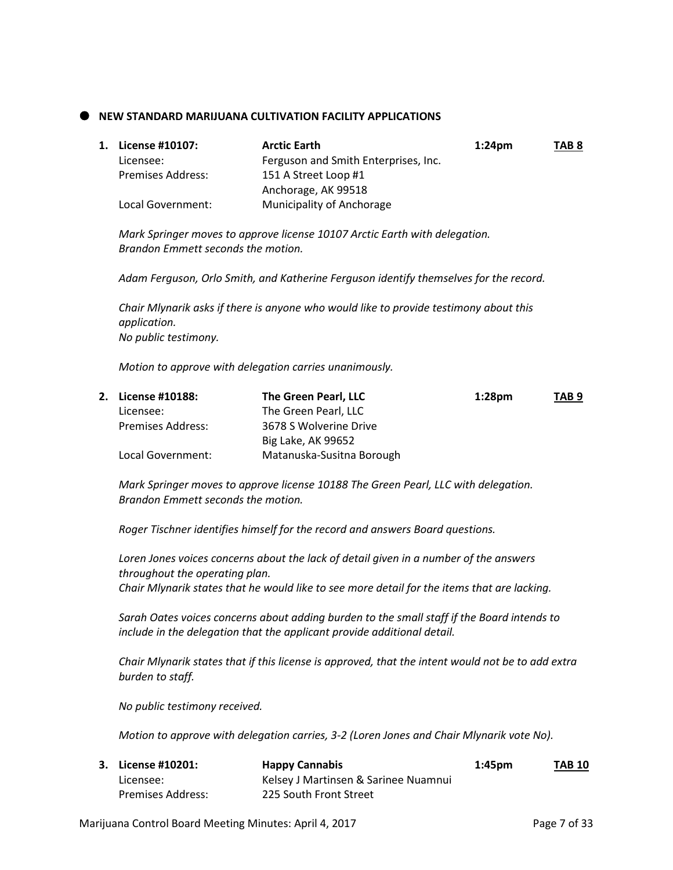## **NEW STANDARD MARIJUANA CULTIVATION FACILITY APPLICATIONS**

| 1. License #10107:       | <b>Arctic Earth</b>                  | $1:24$ pm | TAB <sub>8</sub> |
|--------------------------|--------------------------------------|-----------|------------------|
| Licensee:                | Ferguson and Smith Enterprises, Inc. |           |                  |
| <b>Premises Address:</b> | 151 A Street Loop #1                 |           |                  |
|                          | Anchorage, AK 99518                  |           |                  |
| Local Government:        | Municipality of Anchorage            |           |                  |

*Mark Springer moves to approve license 10107 Arctic Earth with delegation. Brandon Emmett seconds the motion.*

*Adam Ferguson, Orlo Smith, and Katherine Ferguson identify themselves for the record.*

*Chair Mlynarik asks if there is anyone who would like to provide testimony about this application. No public testimony.*

*Motion to approve with delegation carries unanimously.*

| 2. License #10188:       | The Green Pearl, LLC      | 1:28 <sub>pm</sub> | TAB <sub>9</sub> |
|--------------------------|---------------------------|--------------------|------------------|
| Licensee:                | The Green Pearl, LLC      |                    |                  |
| <b>Premises Address:</b> | 3678 S Wolverine Drive    |                    |                  |
|                          | Big Lake, AK 99652        |                    |                  |
| Local Government:        | Matanuska-Susitna Borough |                    |                  |

*Mark Springer moves to approve license 10188 The Green Pearl, LLC with delegation. Brandon Emmett seconds the motion.*

*Roger Tischner identifies himself for the record and answers Board questions.*

*Loren Jones voices concerns about the lack of detail given in a number of the answers throughout the operating plan. Chair Mlynarik states that he would like to see more detail for the items that are lacking.*

*Sarah Oates voices concerns about adding burden to the small staff if the Board intends to include in the delegation that the applicant provide additional detail.*

*Chair Mlynarik states that if this license is approved, that the intent would not be to add extra burden to staff.*

*No public testimony received.*

*Motion to approve with delegation carries, 3-2 (Loren Jones and Chair Mlynarik vote No).*

| 3. License #10201: | <b>Happy Cannabis</b>                | 1:45 <sub>pm</sub> | <b>TAB 10</b> |
|--------------------|--------------------------------------|--------------------|---------------|
| Licensee:          | Kelsey J Martinsen & Sarinee Nuamnui |                    |               |
| Premises Address:  | 225 South Front Street               |                    |               |

Marijuana Control Board Meeting Minutes: April 4, 2017 https://www.com/2017 Page 7 of 33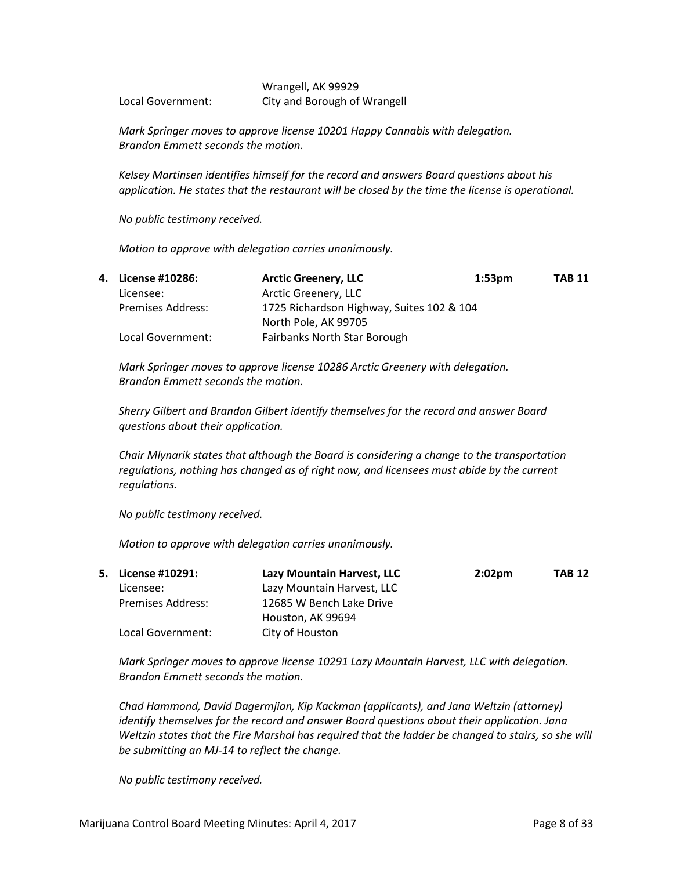Wrangell, AK 99929 Local Government: City and Borough of Wrangell

*Mark Springer moves to approve license 10201 Happy Cannabis with delegation. Brandon Emmett seconds the motion.*

*Kelsey Martinsen identifies himself for the record and answers Board questions about his application. He states that the restaurant will be closed by the time the license is operational.*

*No public testimony received.*

*Motion to approve with delegation carries unanimously.*

| 4. License #10286:       | <b>Arctic Greenery, LLC</b>               | 1:53 <sub>pm</sub> | <b>TAB 11</b> |
|--------------------------|-------------------------------------------|--------------------|---------------|
| Licensee:                | Arctic Greenery, LLC                      |                    |               |
| <b>Premises Address:</b> | 1725 Richardson Highway, Suites 102 & 104 |                    |               |
|                          | North Pole, AK 99705                      |                    |               |
| Local Government:        | Fairbanks North Star Borough              |                    |               |

*Mark Springer moves to approve license 10286 Arctic Greenery with delegation. Brandon Emmett seconds the motion.*

*Sherry Gilbert and Brandon Gilbert identify themselves for the record and answer Board questions about their application.*

*Chair Mlynarik states that although the Board is considering a change to the transportation regulations, nothing has changed as of right now, and licensees must abide by the current regulations.*

*No public testimony received.*

*Motion to approve with delegation carries unanimously.*

|                          | Lazy Mountain Harvest, LLC | 2:02 <sub>pm</sub> | <b>TAB 12</b> |
|--------------------------|----------------------------|--------------------|---------------|
| Licensee:                | Lazy Mountain Harvest, LLC |                    |               |
| <b>Premises Address:</b> | 12685 W Bench Lake Drive   |                    |               |
|                          | Houston, AK 99694          |                    |               |
| Local Government:        | City of Houston            |                    |               |
|                          | 5. License #10291:         |                    |               |

*Mark Springer moves to approve license 10291 Lazy Mountain Harvest, LLC with delegation. Brandon Emmett seconds the motion.*

*Chad Hammond, David Dagermjian, Kip Kackman (applicants), and Jana Weltzin (attorney) identify themselves for the record and answer Board questions about their application. Jana Weltzin states that the Fire Marshal has required that the ladder be changed to stairs, so she will be submitting an MJ-14 to reflect the change.*

*No public testimony received.*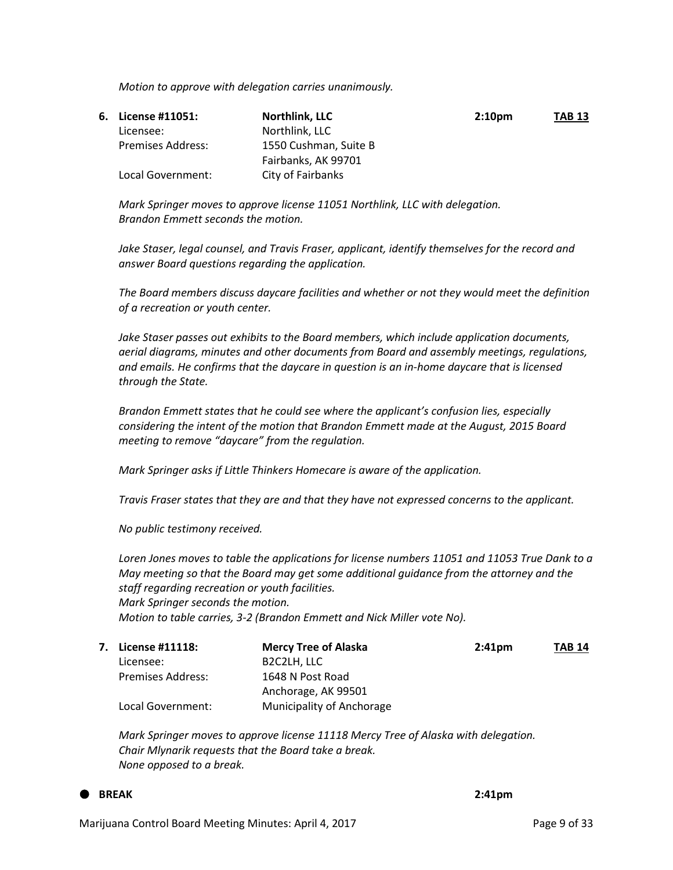*Motion to approve with delegation carries unanimously.*

| 6. License #11051:       | Northlink, LLC        | 2:10 <sub>pm</sub> | <b>TAB 13</b> |
|--------------------------|-----------------------|--------------------|---------------|
| Licensee:                | Northlink, LLC        |                    |               |
| <b>Premises Address:</b> | 1550 Cushman. Suite B |                    |               |
|                          | Fairbanks, AK 99701   |                    |               |
| Local Government:        | City of Fairbanks     |                    |               |

*Mark Springer moves to approve license 11051 Northlink, LLC with delegation. Brandon Emmett seconds the motion.*

*Jake Staser, legal counsel, and Travis Fraser, applicant, identify themselves for the record and answer Board questions regarding the application.*

*The Board members discuss daycare facilities and whether or not they would meet the definition of a recreation or youth center.*

*Jake Staser passes out exhibits to the Board members, which include application documents, aerial diagrams, minutes and other documents from Board and assembly meetings, regulations, and emails. He confirms that the daycare in question is an in-home daycare that is licensed through the State.*

*Brandon Emmett states that he could see where the applicant's confusion lies, especially considering the intent of the motion that Brandon Emmett made at the August, 2015 Board meeting to remove "daycare" from the regulation.*

*Mark Springer asks if Little Thinkers Homecare is aware of the application.*

*Travis Fraser states that they are and that they have not expressed concerns to the applicant.*

*No public testimony received.*

*Loren Jones moves to table the applications for license numbers 11051 and 11053 True Dank to a May meeting so that the Board may get some additional guidance from the attorney and the staff regarding recreation or youth facilities. Mark Springer seconds the motion. Motion to table carries, 3-2 (Brandon Emmett and Nick Miller vote No).*

| 7. | License #11118:          | <b>Mercy Tree of Alaska</b>           | 2:41 <sub>pm</sub> | <b>TAB 14</b> |
|----|--------------------------|---------------------------------------|--------------------|---------------|
|    | Licensee:                | B <sub>2</sub> C <sub>2</sub> LH, LLC |                    |               |
|    | <b>Premises Address:</b> | 1648 N Post Road                      |                    |               |
|    |                          | Anchorage, AK 99501                   |                    |               |
|    | Local Government:        | Municipality of Anchorage             |                    |               |

*Mark Springer moves to approve license 11118 Mercy Tree of Alaska with delegation. Chair Mlynarik requests that the Board take a break. None opposed to a break.*

## **BREAK 2:41pm**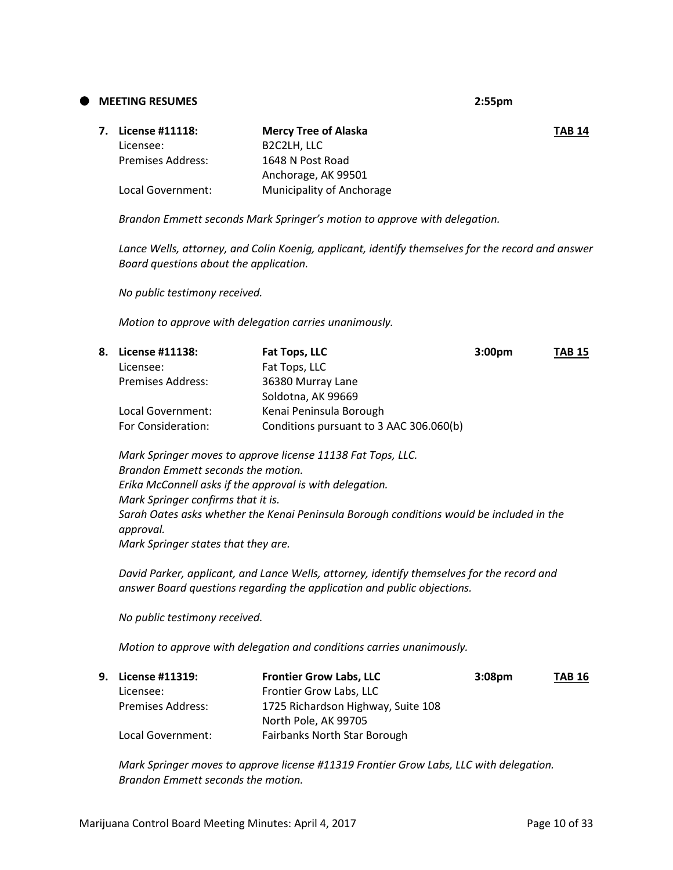**MEETING RESUMES 2:55pm**

| 7. | License #11118:   | <b>Mercy Tree of Alaska</b>           | <b>TAB 14</b> |
|----|-------------------|---------------------------------------|---------------|
|    | Licensee:         | B <sub>2</sub> C <sub>2</sub> LH. LLC |               |
|    | Premises Address: | 1648 N Post Road                      |               |
|    |                   | Anchorage, AK 99501                   |               |
|    | Local Government: | Municipality of Anchorage             |               |
|    |                   |                                       |               |

*Brandon Emmett seconds Mark Springer's motion to approve with delegation.*

*Lance Wells, attorney, and Colin Koenig, applicant, identify themselves for the record and answer Board questions about the application.*

*No public testimony received.*

*Motion to approve with delegation carries unanimously.*

| 8. . | License #11138:          | Fat Tops, LLC                           | 3:00 <sub>pm</sub> | <b>TAB 15</b> |
|------|--------------------------|-----------------------------------------|--------------------|---------------|
|      | Licensee:                | Fat Tops, LLC                           |                    |               |
|      | <b>Premises Address:</b> | 36380 Murray Lane                       |                    |               |
|      |                          | Soldotna, AK 99669                      |                    |               |
|      | Local Government:        | Kenai Peninsula Borough                 |                    |               |
|      | For Consideration:       | Conditions pursuant to 3 AAC 306.060(b) |                    |               |

*Mark Springer moves to approve license 11138 Fat Tops, LLC. Brandon Emmett seconds the motion. Erika McConnell asks if the approval is with delegation. Mark Springer confirms that it is. Sarah Oates asks whether the Kenai Peninsula Borough conditions would be included in the approval. Mark Springer states that they are.*

*David Parker, applicant, and Lance Wells, attorney, identify themselves for the record and answer Board questions regarding the application and public objections.*

*No public testimony received.*

*Motion to approve with delegation and conditions carries unanimously.*

| 9. License #11319:       | <b>Frontier Grow Labs, LLC</b>      | 3:08 <sub>pm</sub> | <b>TAB 16</b> |
|--------------------------|-------------------------------------|--------------------|---------------|
| Licensee:                | Frontier Grow Labs, LLC             |                    |               |
| <b>Premises Address:</b> | 1725 Richardson Highway, Suite 108  |                    |               |
|                          | North Pole, AK 99705                |                    |               |
| Local Government:        | <b>Fairbanks North Star Borough</b> |                    |               |

*Mark Springer moves to approve license #11319 Frontier Grow Labs, LLC with delegation. Brandon Emmett seconds the motion.*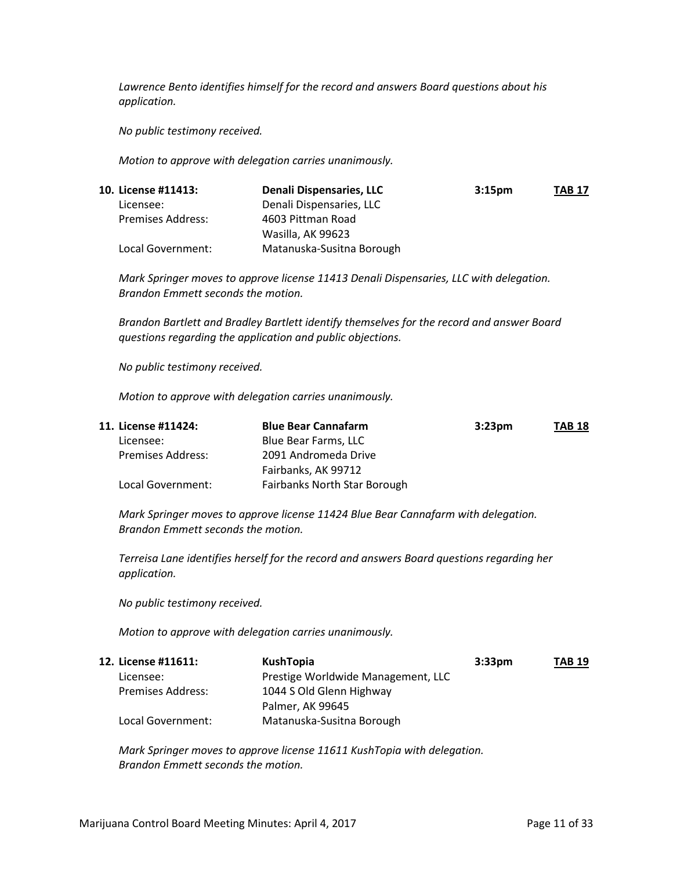*Lawrence Bento identifies himself for the record and answers Board questions about his application.*

*No public testimony received.*

*Motion to approve with delegation carries unanimously.*

| 10. License #11413:      | Denali Dispensaries, LLC  | 3:15 <sub>pm</sub> | <b>TAB 17</b> |
|--------------------------|---------------------------|--------------------|---------------|
| Licensee:                | Denali Dispensaries, LLC  |                    |               |
| <b>Premises Address:</b> | 4603 Pittman Road         |                    |               |
|                          | Wasilla, AK 99623         |                    |               |
| Local Government:        | Matanuska-Susitna Borough |                    |               |

*Mark Springer moves to approve license 11413 Denali Dispensaries, LLC with delegation. Brandon Emmett seconds the motion.*

*Brandon Bartlett and Bradley Bartlett identify themselves for the record and answer Board questions regarding the application and public objections.*

*No public testimony received.*

*Motion to approve with delegation carries unanimously.*

| 11. License #11424:      | <b>Blue Bear Cannafarm</b>   | 3:23 <sub>pm</sub> | <b>TAB 18</b> |
|--------------------------|------------------------------|--------------------|---------------|
| Licensee:                | Blue Bear Farms, LLC         |                    |               |
| <b>Premises Address:</b> | 2091 Andromeda Drive         |                    |               |
|                          | Fairbanks, AK 99712          |                    |               |
| Local Government:        | Fairbanks North Star Borough |                    |               |

*Mark Springer moves to approve license 11424 Blue Bear Cannafarm with delegation. Brandon Emmett seconds the motion.*

*Terreisa Lane identifies herself for the record and answers Board questions regarding her application.*

*No public testimony received.*

*Motion to approve with delegation carries unanimously.*

| 12. License #11611: | KushTopia                          | 3:33 <sub>pm</sub> | <b>TAB 19</b> |
|---------------------|------------------------------------|--------------------|---------------|
| Licensee:           | Prestige Worldwide Management, LLC |                    |               |
| Premises Address:   | 1044 S Old Glenn Highway           |                    |               |
|                     | Palmer, AK 99645                   |                    |               |
| Local Government:   | Matanuska-Susitna Borough          |                    |               |

*Mark Springer moves to approve license 11611 KushTopia with delegation. Brandon Emmett seconds the motion.*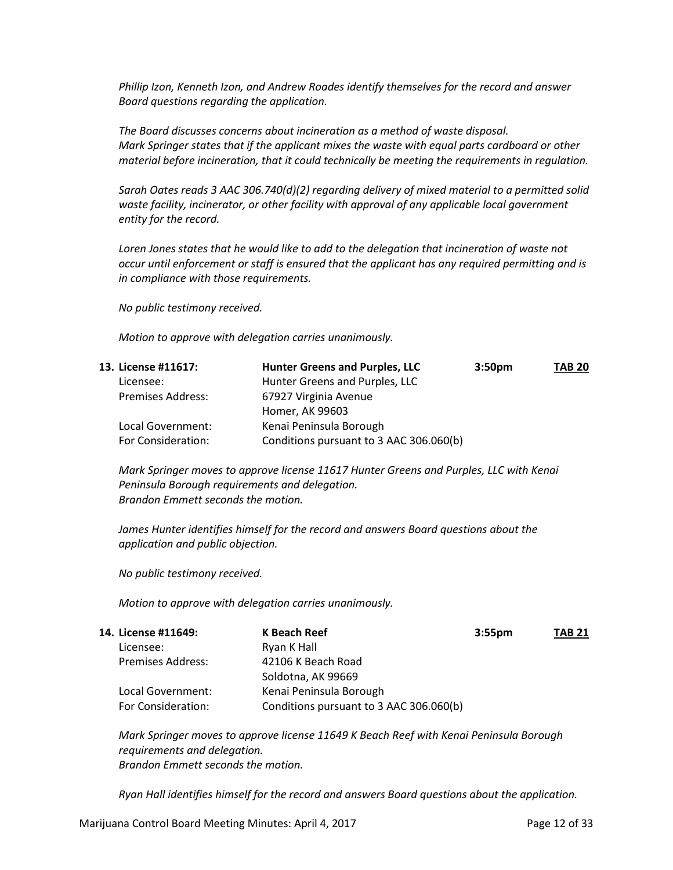*Phillip Izon, Kenneth Izon, and Andrew Roades identify themselves for the record and answer Board questions regarding the application.*

*The Board discusses concerns about incineration as a method of waste disposal. Mark Springer states that if the applicant mixes the waste with equal parts cardboard or other material before incineration, that it could technically be meeting the requirements in regulation.*

*Sarah Oates reads 3 AAC 306.740(d)(2) regarding delivery of mixed material to a permitted solid waste facility, incinerator, or other facility with approval of any applicable local government entity for the record.*

*Loren Jones states that he would like to add to the delegation that incineration of waste not occur until enforcement or staff is ensured that the applicant has any required permitting and is in compliance with those requirements.*

*No public testimony received.*

*Motion to approve with delegation carries unanimously.*

| 13. License #11617:      | <b>Hunter Greens and Purples, LLC</b>   | 3:50 <sub>pm</sub> | <b>TAB 20</b> |
|--------------------------|-----------------------------------------|--------------------|---------------|
| Licensee:                | Hunter Greens and Purples, LLC          |                    |               |
| <b>Premises Address:</b> | 67927 Virginia Avenue                   |                    |               |
|                          | Homer, AK 99603                         |                    |               |
| Local Government:        | Kenai Peninsula Borough                 |                    |               |
| For Consideration:       | Conditions pursuant to 3 AAC 306.060(b) |                    |               |
|                          |                                         |                    |               |

*Mark Springer moves to approve license 11617 Hunter Greens and Purples, LLC with Kenai Peninsula Borough requirements and delegation. Brandon Emmett seconds the motion.*

*James Hunter identifies himself for the record and answers Board questions about the application and public objection.*

*No public testimony received.*

*Motion to approve with delegation carries unanimously.* 

| 14. License #11649:      | K Beach Reef<br>3:55 <sub>pm</sub>      | <b>TAB 21</b> |
|--------------------------|-----------------------------------------|---------------|
| Licensee:                | Ryan K Hall                             |               |
| <b>Premises Address:</b> | 42106 K Beach Road                      |               |
|                          | Soldotna, AK 99669                      |               |
| Local Government:        | Kenai Peninsula Borough                 |               |
| For Consideration:       | Conditions pursuant to 3 AAC 306.060(b) |               |

*Mark Springer moves to approve license 11649 K Beach Reef with Kenai Peninsula Borough requirements and delegation. Brandon Emmett seconds the motion.*

*Ryan Hall identifies himself for the record and answers Board questions about the application.*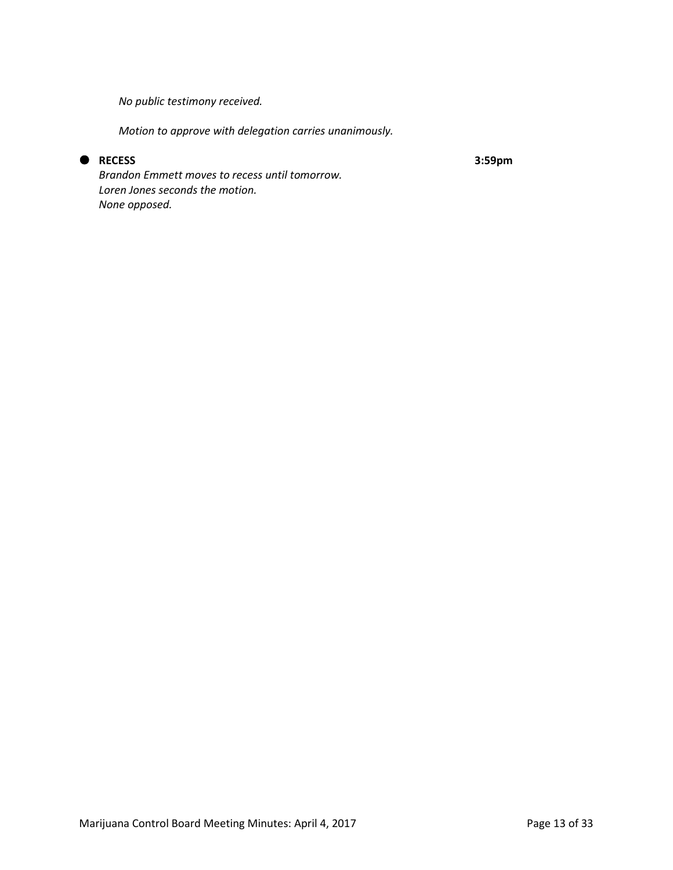*No public testimony received.*

*Motion to approve with delegation carries unanimously.* 

## **RECESS 3:59pm**

*Brandon Emmett moves to recess until tomorrow. Loren Jones seconds the motion. None opposed.*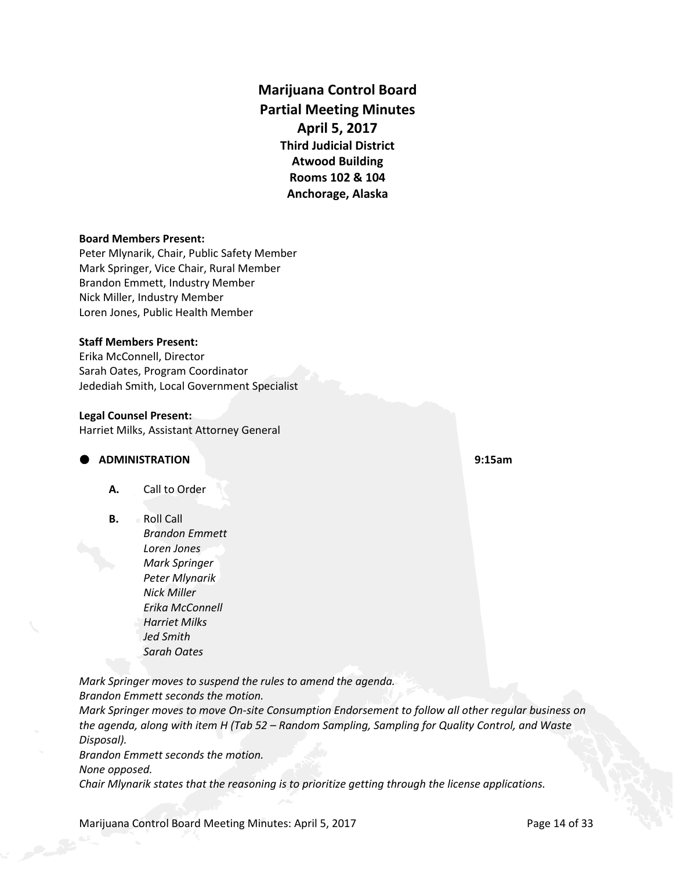**Marijuana Control Board Partial Meeting Minutes April 5, 2017 Third Judicial District Atwood Building Rooms 102 & 104 Anchorage, Alaska**

#### **Board Members Present:**

Peter Mlynarik, Chair, Public Safety Member Mark Springer, Vice Chair, Rural Member Brandon Emmett, Industry Member Nick Miller, Industry Member Loren Jones, Public Health Member

#### **Staff Members Present:**

Erika McConnell, Director Sarah Oates, Program Coordinator Jedediah Smith, Local Government Specialist

#### **Legal Counsel Present:**

Harriet Milks, Assistant Attorney General

### **ADMINISTRATION 9:15am**

- **A.** Call to Order
- **B.** Roll Call
	- *Brandon Emmett Loren Jones Mark Springer Peter Mlynarik Nick Miller Erika McConnell Harriet Milks Jed Smith Sarah Oates*

*Mark Springer moves to suspend the rules to amend the agenda. Brandon Emmett seconds the motion.*

*Mark Springer moves to move On-site Consumption Endorsement to follow all other regular business on the agenda, along with item H (Tab 52 – Random Sampling, Sampling for Quality Control, and Waste Disposal).*

*Brandon Emmett seconds the motion.*

*None opposed.*

*Chair Mlynarik states that the reasoning is to prioritize getting through the license applications.*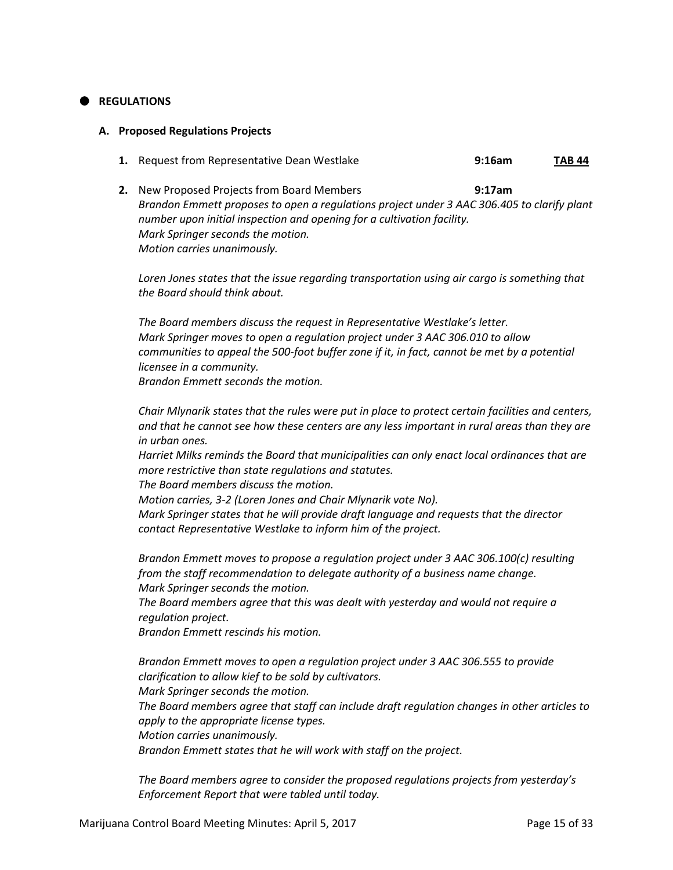## **REGULATIONS**

#### **A. Proposed Regulations Projects**

- **1.** Request from Representative Dean Westlake **9:16am TAB 44**
- **2.** New Proposed Projects from Board Members **9:17am** *Brandon Emmett proposes to open a regulations project under 3 AAC 306.405 to clarify plant number upon initial inspection and opening for a cultivation facility. Mark Springer seconds the motion. Motion carries unanimously.*

*Loren Jones states that the issue regarding transportation using air cargo is something that the Board should think about.*

*The Board members discuss the request in Representative Westlake's letter. Mark Springer moves to open a regulation project under 3 AAC 306.010 to allow communities to appeal the 500-foot buffer zone if it, in fact, cannot be met by a potential licensee in a community. Brandon Emmett seconds the motion.*

*Chair Mlynarik states that the rules were put in place to protect certain facilities and centers, and that he cannot see how these centers are any less important in rural areas than they are in urban ones.*

*Harriet Milks reminds the Board that municipalities can only enact local ordinances that are more restrictive than state regulations and statutes.*

*The Board members discuss the motion.*

*Motion carries, 3-2 (Loren Jones and Chair Mlynarik vote No).*

*Mark Springer states that he will provide draft language and requests that the director contact Representative Westlake to inform him of the project.*

*Brandon Emmett moves to propose a regulation project under 3 AAC 306.100(c) resulting from the staff recommendation to delegate authority of a business name change. Mark Springer seconds the motion.*

*The Board members agree that this was dealt with yesterday and would not require a regulation project.*

*Brandon Emmett rescinds his motion.*

*Brandon Emmett moves to open a regulation project under 3 AAC 306.555 to provide clarification to allow kief to be sold by cultivators. Mark Springer seconds the motion. The Board members agree that staff can include draft regulation changes in other articles to apply to the appropriate license types. Motion carries unanimously. Brandon Emmett states that he will work with staff on the project.*

*The Board members agree to consider the proposed regulations projects from yesterday's Enforcement Report that were tabled until today.*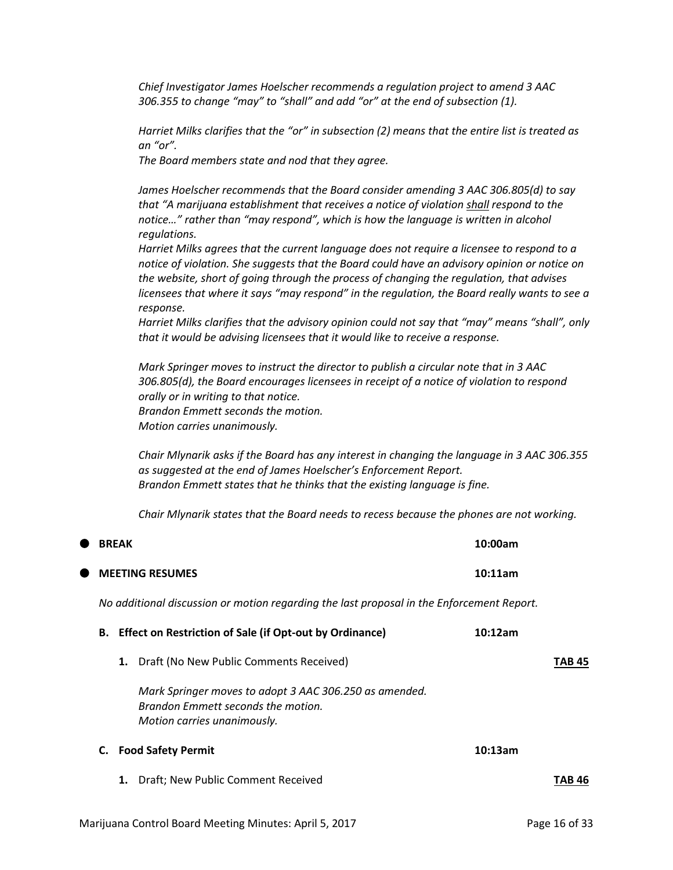*Chief Investigator James Hoelscher recommends a regulation project to amend 3 AAC 306.355 to change "may" to "shall" and add "or" at the end of subsection (1).*

*Harriet Milks clarifies that the "or" in subsection (2) means that the entire list is treated as an "or".*

*The Board members state and nod that they agree.*

*James Hoelscher recommends that the Board consider amending 3 AAC 306.805(d) to say that "A marijuana establishment that receives a notice of violation shall respond to the notice…" rather than "may respond", which is how the language is written in alcohol regulations.*

*Harriet Milks agrees that the current language does not require a licensee to respond to a notice of violation. She suggests that the Board could have an advisory opinion or notice on the website, short of going through the process of changing the regulation, that advises licensees that where it says "may respond" in the regulation, the Board really wants to see a response.*

*Harriet Milks clarifies that the advisory opinion could not say that "may" means "shall", only that it would be advising licensees that it would like to receive a response.*

*Mark Springer moves to instruct the director to publish a circular note that in 3 AAC 306.805(d), the Board encourages licensees in receipt of a notice of violation to respond orally or in writing to that notice. Brandon Emmett seconds the motion. Motion carries unanimously.*

*Chair Mlynarik asks if the Board has any interest in changing the language in 3 AAC 306.355 as suggested at the end of James Hoelscher's Enforcement Report. Brandon Emmett states that he thinks that the existing language is fine.*

*Chair Mlynarik states that the Board needs to recess because the phones are not working.*

|           |    | <b>BREAK</b> |                                                                                                                             | 10:00am |               |
|-----------|----|--------------|-----------------------------------------------------------------------------------------------------------------------------|---------|---------------|
| $\bullet$ |    |              | <b>MEETING RESUMES</b>                                                                                                      | 10:11am |               |
|           |    |              | No additional discussion or motion regarding the last proposal in the Enforcement Report.                                   |         |               |
|           | В. |              | <b>Effect on Restriction of Sale (if Opt-out by Ordinance)</b>                                                              | 10:12am |               |
|           |    | 1.           | Draft (No New Public Comments Received)                                                                                     |         | <b>TAB 45</b> |
|           |    |              | Mark Springer moves to adopt 3 AAC 306.250 as amended.<br>Brandon Emmett seconds the motion.<br>Motion carries unanimously. |         |               |
|           | C. |              | <b>Food Safety Permit</b>                                                                                                   | 10:13am |               |
|           |    | 1.           | Draft; New Public Comment Received                                                                                          |         | TAB 46        |
|           |    |              |                                                                                                                             |         |               |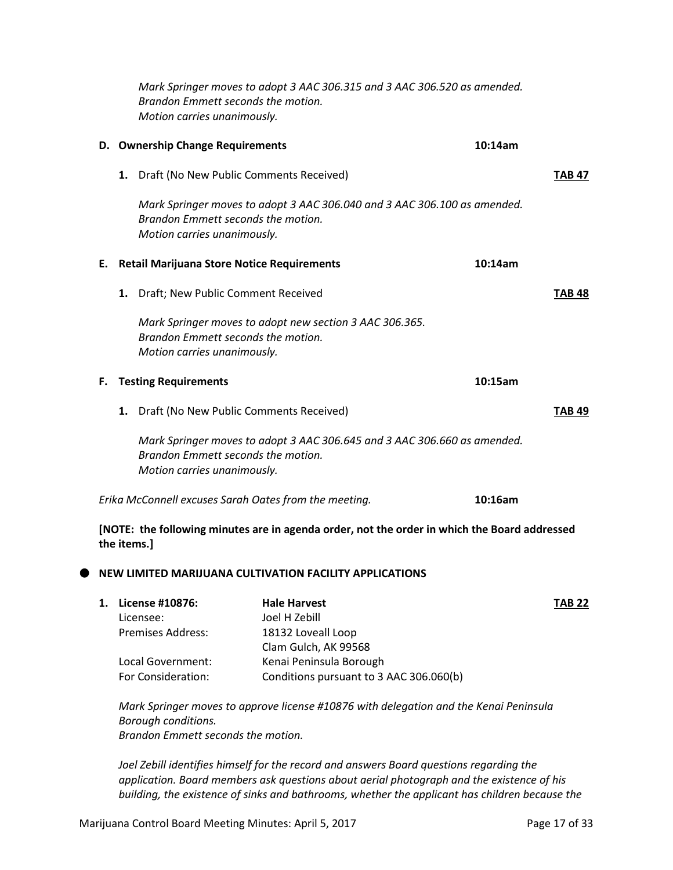|             |    | Mark Springer moves to adopt 3 AAC 306.315 and 3 AAC 306.520 as amended.<br>Brandon Emmett seconds the motion.<br>Motion carries unanimously. |               |
|-------------|----|-----------------------------------------------------------------------------------------------------------------------------------------------|---------------|
|             |    | D. Ownership Change Requirements                                                                                                              | 10:14am       |
|             | 1. | Draft (No New Public Comments Received)                                                                                                       | <b>TAB 47</b> |
|             |    | Mark Springer moves to adopt 3 AAC 306.040 and 3 AAC 306.100 as amended.<br>Brandon Emmett seconds the motion.<br>Motion carries unanimously. |               |
| Е.          |    | <b>Retail Marijuana Store Notice Requirements</b>                                                                                             | 10:14am       |
|             | 1. | Draft; New Public Comment Received                                                                                                            | TAB 48        |
|             |    | Mark Springer moves to adopt new section 3 AAC 306.365.<br>Brandon Emmett seconds the motion.<br>Motion carries unanimously.                  |               |
| F.          |    | <b>Testing Requirements</b>                                                                                                                   | 10:15am       |
|             | 1. | Draft (No New Public Comments Received)                                                                                                       | TAB 49        |
|             |    | Mark Springer moves to adopt 3 AAC 306.645 and 3 AAC 306.660 as amended.<br>Brandon Emmett seconds the motion.<br>Motion carries unanimously. |               |
|             |    | Erika McConnell excuses Sarah Oates from the meeting.                                                                                         | 10:16am       |
| the items.] |    | [NOTE: the following minutes are in agenda order, not the order in which the Board addressed                                                  |               |

## **NEW LIMITED MARIJUANA CULTIVATION FACILITY APPLICATIONS**

| 1. | License #10876:          | <b>Hale Harvest</b>                     | <b>TAB 22</b> |
|----|--------------------------|-----------------------------------------|---------------|
|    | Licensee:                | Joel H Zebill                           |               |
|    | <b>Premises Address:</b> | 18132 Loveall Loop                      |               |
|    |                          | Clam Gulch, AK 99568                    |               |
|    | Local Government:        | Kenai Peninsula Borough                 |               |
|    | For Consideration:       | Conditions pursuant to 3 AAC 306.060(b) |               |

*Mark Springer moves to approve license #10876 with delegation and the Kenai Peninsula Borough conditions. Brandon Emmett seconds the motion.*

*Joel Zebill identifies himself for the record and answers Board questions regarding the application. Board members ask questions about aerial photograph and the existence of his building, the existence of sinks and bathrooms, whether the applicant has children because the*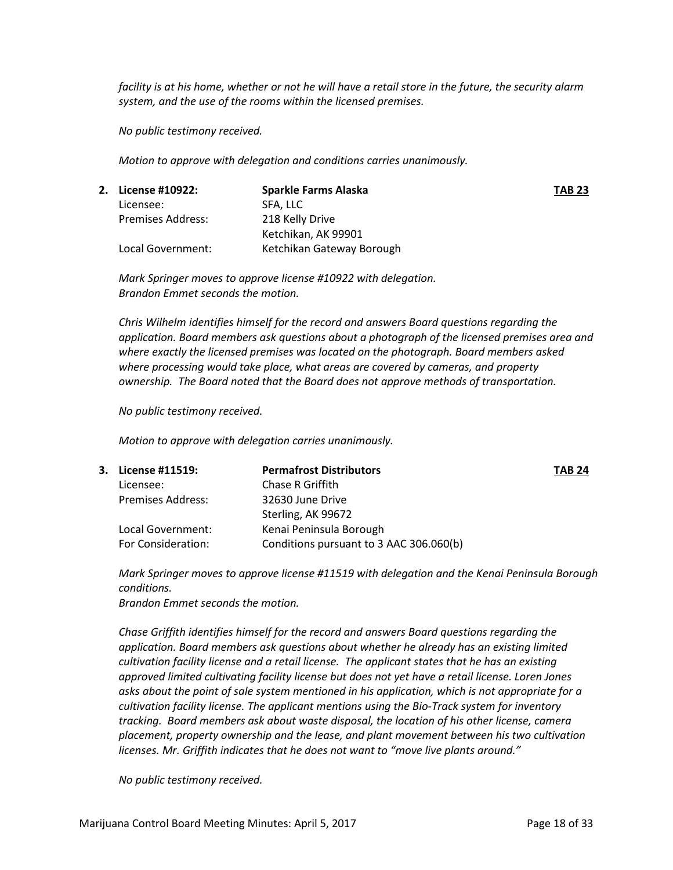*facility is at his home, whether or not he will have a retail store in the future, the security alarm system, and the use of the rooms within the licensed premises.*

*No public testimony received.*

*Motion to approve with delegation and conditions carries unanimously.*

| 2. License #10922:       | Sparkle Farms Alaska      | <b>TAB 23</b> |
|--------------------------|---------------------------|---------------|
| Licensee:                | SFA. LLC                  |               |
| <b>Premises Address:</b> | 218 Kelly Drive           |               |
|                          | Ketchikan, AK 99901       |               |
| Local Government:        | Ketchikan Gateway Borough |               |

*Mark Springer moves to approve license #10922 with delegation. Brandon Emmet seconds the motion.*

*Chris Wilhelm identifies himself for the record and answers Board questions regarding the application. Board members ask questions about a photograph of the licensed premises area and where exactly the licensed premises was located on the photograph. Board members asked where processing would take place, what areas are covered by cameras, and property ownership. The Board noted that the Board does not approve methods of transportation.*

*No public testimony received.*

*Motion to approve with delegation carries unanimously.* 

| 3. License #11519:       | <b>Permafrost Distributors</b>          | <b>TAB 24</b> |
|--------------------------|-----------------------------------------|---------------|
| Licensee:                | Chase R Griffith                        |               |
| <b>Premises Address:</b> | 32630 June Drive                        |               |
|                          | Sterling, AK 99672                      |               |
| Local Government:        | Kenai Peninsula Borough                 |               |
| For Consideration:       | Conditions pursuant to 3 AAC 306.060(b) |               |
|                          |                                         |               |

*Mark Springer moves to approve license #11519 with delegation and the Kenai Peninsula Borough conditions.*

*Brandon Emmet seconds the motion.*

*Chase Griffith identifies himself for the record and answers Board questions regarding the application. Board members ask questions about whether he already has an existing limited cultivation facility license and a retail license. The applicant states that he has an existing approved limited cultivating facility license but does not yet have a retail license. Loren Jones asks about the point of sale system mentioned in his application, which is not appropriate for a cultivation facility license. The applicant mentions using the Bio-Track system for inventory tracking. Board members ask about waste disposal, the location of his other license, camera placement, property ownership and the lease, and plant movement between his two cultivation licenses. Mr. Griffith indicates that he does not want to "move live plants around."*

*No public testimony received.*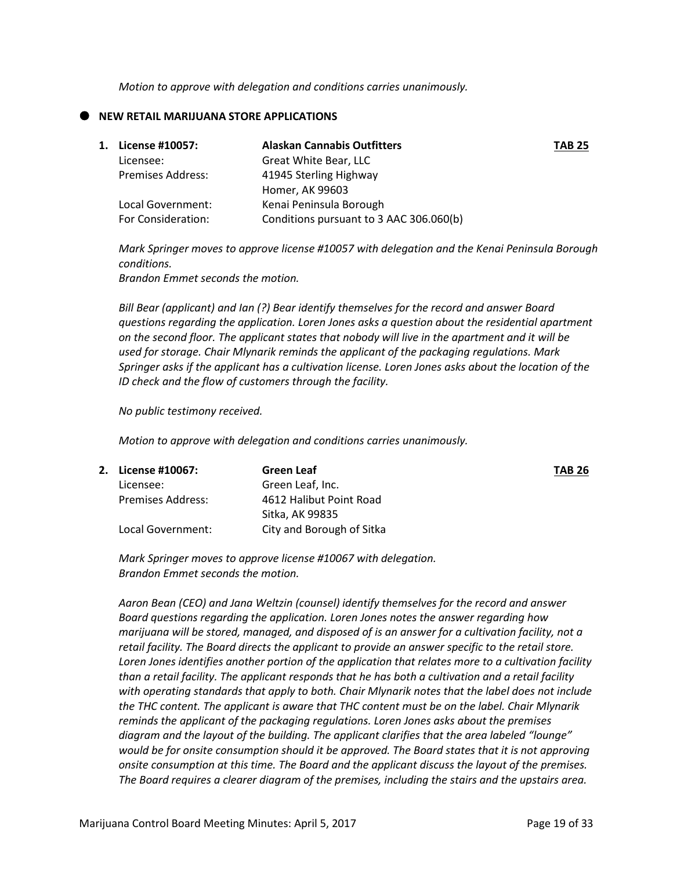*Motion to approve with delegation and conditions carries unanimously.*

#### **NEW RETAIL MARIJUANA STORE APPLICATIONS**

| 1. | License #10057:          | <b>Alaskan Cannabis Outfitters</b>      | <b>TAB 25</b> |
|----|--------------------------|-----------------------------------------|---------------|
|    | Licensee:                | Great White Bear, LLC                   |               |
|    | <b>Premises Address:</b> | 41945 Sterling Highway                  |               |
|    |                          | Homer, AK 99603                         |               |
|    | Local Government:        | Kenai Peninsula Borough                 |               |
|    | For Consideration:       | Conditions pursuant to 3 AAC 306.060(b) |               |

*Mark Springer moves to approve license #10057 with delegation and the Kenai Peninsula Borough conditions.*

*Brandon Emmet seconds the motion.*

*Bill Bear (applicant) and Ian (?) Bear identify themselves for the record and answer Board questions regarding the application. Loren Jones asks a question about the residential apartment on the second floor. The applicant states that nobody will live in the apartment and it will be used for storage. Chair Mlynarik reminds the applicant of the packaging regulations. Mark Springer asks if the applicant has a cultivation license. Loren Jones asks about the location of the ID check and the flow of customers through the facility.*

*No public testimony received.*

*Motion to approve with delegation and conditions carries unanimously.*

| 2. License #10067: | Green Leaf                | <b>TAB 26</b> |
|--------------------|---------------------------|---------------|
| Licensee:          | Green Leaf, Inc.          |               |
| Premises Address:  | 4612 Halibut Point Road   |               |
|                    | Sitka, AK 99835           |               |
| Local Government:  | City and Borough of Sitka |               |

*Mark Springer moves to approve license #10067 with delegation. Brandon Emmet seconds the motion.*

*Aaron Bean (CEO) and Jana Weltzin (counsel) identify themselves for the record and answer Board questions regarding the application. Loren Jones notes the answer regarding how marijuana will be stored, managed, and disposed of is an answer for a cultivation facility, not a retail facility. The Board directs the applicant to provide an answer specific to the retail store. Loren Jones identifies another portion of the application that relates more to a cultivation facility than a retail facility. The applicant responds that he has both a cultivation and a retail facility with operating standards that apply to both. Chair Mlynarik notes that the label does not include the THC content. The applicant is aware that THC content must be on the label. Chair Mlynarik reminds the applicant of the packaging regulations. Loren Jones asks about the premises diagram and the layout of the building. The applicant clarifies that the area labeled "lounge" would be for onsite consumption should it be approved. The Board states that it is not approving onsite consumption at this time. The Board and the applicant discuss the layout of the premises. The Board requires a clearer diagram of the premises, including the stairs and the upstairs area.*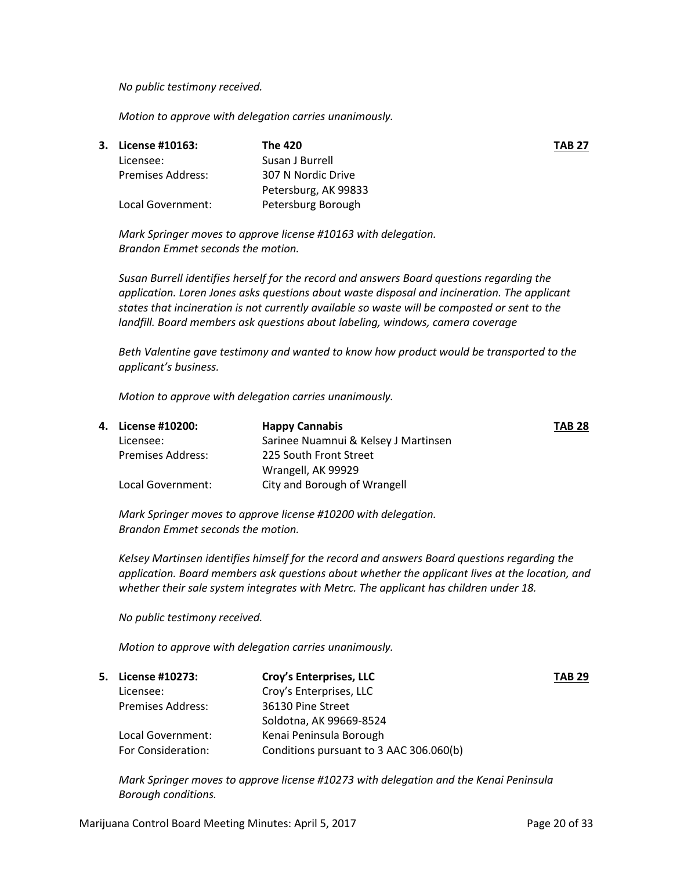*No public testimony received.*

*Motion to approve with delegation carries unanimously.* 

| 3. License #10163: | The 420              | <b>TAB 27</b> |
|--------------------|----------------------|---------------|
| Licensee:          | Susan J Burrell      |               |
| Premises Address:  | 307 N Nordic Drive   |               |
|                    | Petersburg, AK 99833 |               |
| Local Government:  | Petersburg Borough   |               |

*Mark Springer moves to approve license #10163 with delegation. Brandon Emmet seconds the motion.*

*Susan Burrell identifies herself for the record and answers Board questions regarding the application. Loren Jones asks questions about waste disposal and incineration. The applicant states that incineration is not currently available so waste will be composted or sent to the landfill. Board members ask questions about labeling, windows, camera coverage*

*Beth Valentine gave testimony and wanted to know how product would be transported to the applicant's business.*

*Motion to approve with delegation carries unanimously.* 

| 4. License #10200:       | <b>Happy Cannabis</b>                | <b>TAB 28</b> |
|--------------------------|--------------------------------------|---------------|
| Licensee:                | Sarinee Nuamnui & Kelsey J Martinsen |               |
| <b>Premises Address:</b> | 225 South Front Street               |               |
|                          | Wrangell, AK 99929                   |               |
| Local Government:        | City and Borough of Wrangell         |               |

*Mark Springer moves to approve license #10200 with delegation. Brandon Emmet seconds the motion.*

*Kelsey Martinsen identifies himself for the record and answers Board questions regarding the application. Board members ask questions about whether the applicant lives at the location, and whether their sale system integrates with Metrc. The applicant has children under 18.* 

*No public testimony received.*

*Motion to approve with delegation carries unanimously.* 

| 5. License #10273:       | Croy's Enterprises, LLC                 | <b>TAB 29</b> |
|--------------------------|-----------------------------------------|---------------|
| Licensee:                | Croy's Enterprises, LLC                 |               |
| <b>Premises Address:</b> | 36130 Pine Street                       |               |
|                          | Soldotna, AK 99669-8524                 |               |
| Local Government:        | Kenai Peninsula Borough                 |               |
| For Consideration:       | Conditions pursuant to 3 AAC 306.060(b) |               |

*Mark Springer moves to approve license #10273 with delegation and the Kenai Peninsula Borough conditions.*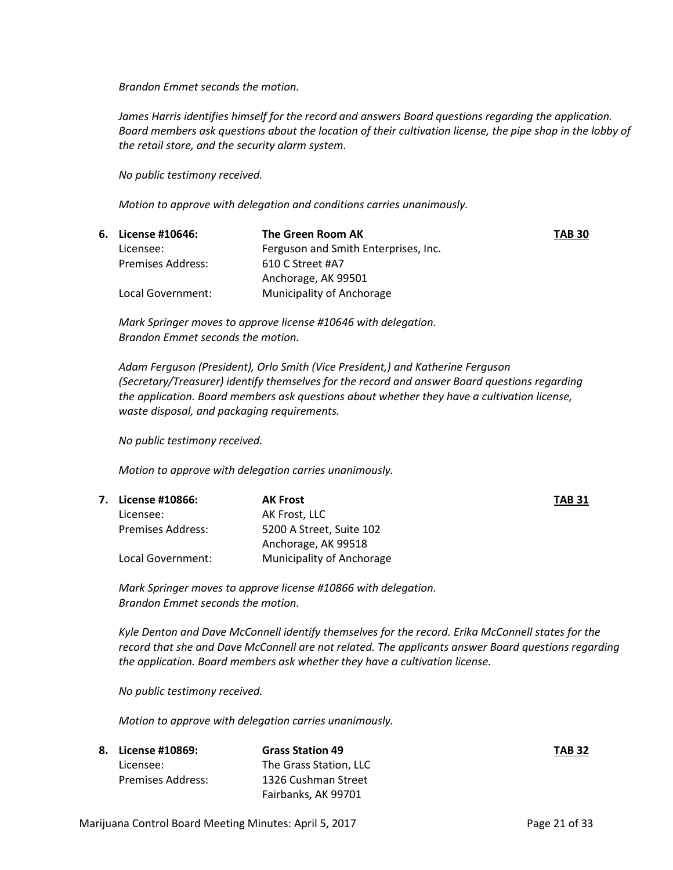*Brandon Emmet seconds the motion.*

*James Harris identifies himself for the record and answers Board questions regarding the application. Board members ask questions about the location of their cultivation license, the pipe shop in the lobby of the retail store, and the security alarm system.*

*No public testimony received.*

*Motion to approve with delegation and conditions carries unanimously.*

| 6. License #10646: | The Green Room AK                    | <b>TAB 30</b> |
|--------------------|--------------------------------------|---------------|
| Licensee:          | Ferguson and Smith Enterprises, Inc. |               |
| Premises Address:  | 610 C Street #A7                     |               |
|                    | Anchorage, AK 99501                  |               |
| Local Government:  | Municipality of Anchorage            |               |

*Mark Springer moves to approve license #10646 with delegation. Brandon Emmet seconds the motion.*

*Adam Ferguson (President), Orlo Smith (Vice President,) and Katherine Ferguson (Secretary/Treasurer) identify themselves for the record and answer Board questions regarding the application. Board members ask questions about whether they have a cultivation license, waste disposal, and packaging requirements.*

*No public testimony received.*

*Motion to approve with delegation carries unanimously.* 

| 7. License #10866:       | <b>AK Frost</b>           | <b>TAB 31</b> |
|--------------------------|---------------------------|---------------|
| Licensee:                | AK Frost, LLC             |               |
| <b>Premises Address:</b> | 5200 A Street, Suite 102  |               |
|                          | Anchorage, AK 99518       |               |
| Local Government:        | Municipality of Anchorage |               |

*Mark Springer moves to approve license #10866 with delegation. Brandon Emmet seconds the motion.*

*Kyle Denton and Dave McConnell identify themselves for the record. Erika McConnell states for the record that she and Dave McConnell are not related. The applicants answer Board questions regarding the application. Board members ask whether they have a cultivation license.*

*No public testimony received.*

*Motion to approve with delegation carries unanimously.* 

| 8. License #10869: | <b>Grass Station 49</b> | <b>TAB 32</b> |
|--------------------|-------------------------|---------------|
| Licensee:          | The Grass Station. LLC  |               |
| Premises Address:  | 1326 Cushman Street     |               |
|                    | Fairbanks, AK 99701     |               |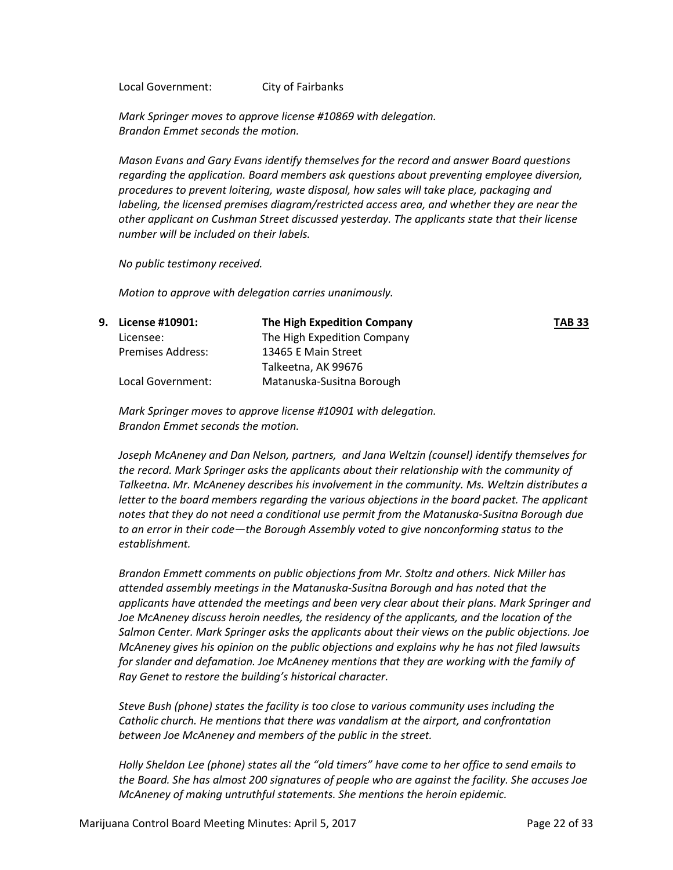Local Government: City of Fairbanks

*Mark Springer moves to approve license #10869 with delegation. Brandon Emmet seconds the motion.*

*Mason Evans and Gary Evans identify themselves for the record and answer Board questions regarding the application. Board members ask questions about preventing employee diversion, procedures to prevent loitering, waste disposal, how sales will take place, packaging and labeling, the licensed premises diagram/restricted access area, and whether they are near the other applicant on Cushman Street discussed yesterday. The applicants state that their license number will be included on their labels.*

*No public testimony received.*

*Motion to approve with delegation carries unanimously.* 

| 9. License #10901: | The High Expedition Company | <b>TAB 33</b> |
|--------------------|-----------------------------|---------------|
| Licensee:          | The High Expedition Company |               |
| Premises Address:  | 13465 E Main Street         |               |
|                    | Talkeetna, AK 99676         |               |
| Local Government:  | Matanuska-Susitna Borough   |               |

*Mark Springer moves to approve license #10901 with delegation. Brandon Emmet seconds the motion.*

*Joseph McAneney and Dan Nelson, partners, and Jana Weltzin (counsel) identify themselves for the record. Mark Springer asks the applicants about their relationship with the community of Talkeetna. Mr. McAneney describes his involvement in the community. Ms. Weltzin distributes a letter to the board members regarding the various objections in the board packet. The applicant notes that they do not need a conditional use permit from the Matanuska-Susitna Borough due to an error in their code—the Borough Assembly voted to give nonconforming status to the establishment.* 

*Brandon Emmett comments on public objections from Mr. Stoltz and others. Nick Miller has attended assembly meetings in the Matanuska-Susitna Borough and has noted that the applicants have attended the meetings and been very clear about their plans. Mark Springer and Joe McAneney discuss heroin needles, the residency of the applicants, and the location of the Salmon Center. Mark Springer asks the applicants about their views on the public objections. Joe McAneney gives his opinion on the public objections and explains why he has not filed lawsuits for slander and defamation. Joe McAneney mentions that they are working with the family of Ray Genet to restore the building's historical character.*

*Steve Bush (phone) states the facility is too close to various community uses including the Catholic church. He mentions that there was vandalism at the airport, and confrontation between Joe McAneney and members of the public in the street.*

*Holly Sheldon Lee (phone) states all the "old timers" have come to her office to send emails to the Board. She has almost 200 signatures of people who are against the facility. She accuses Joe McAneney of making untruthful statements. She mentions the heroin epidemic.*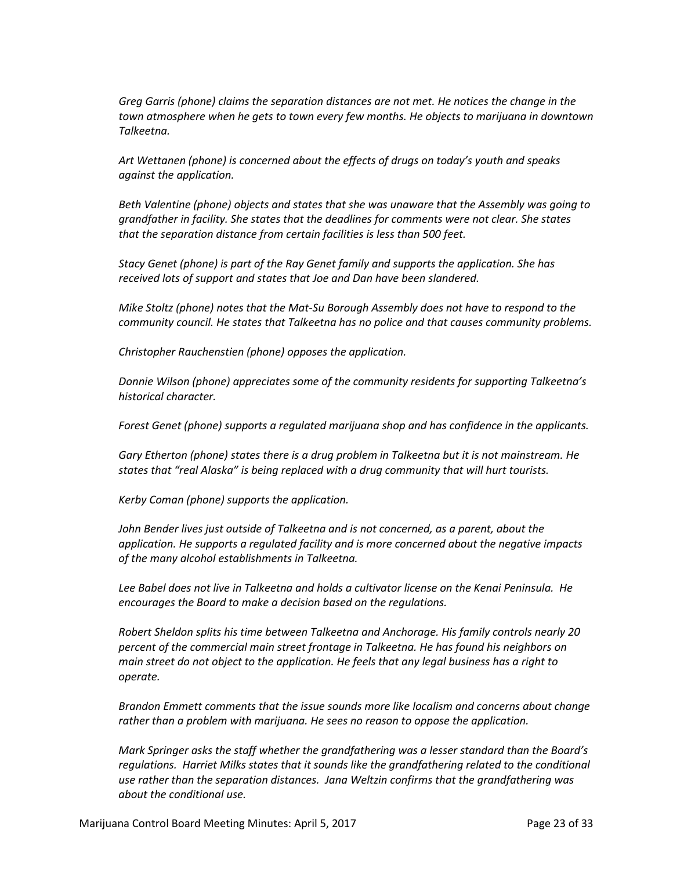*Greg Garris (phone) claims the separation distances are not met. He notices the change in the town atmosphere when he gets to town every few months. He objects to marijuana in downtown Talkeetna.*

*Art Wettanen (phone) is concerned about the effects of drugs on today's youth and speaks against the application.*

*Beth Valentine (phone) objects and states that she was unaware that the Assembly was going to grandfather in facility. She states that the deadlines for comments were not clear. She states that the separation distance from certain facilities is less than 500 feet.*

*Stacy Genet (phone) is part of the Ray Genet family and supports the application. She has received lots of support and states that Joe and Dan have been slandered.*

*Mike Stoltz (phone) notes that the Mat-Su Borough Assembly does not have to respond to the community council. He states that Talkeetna has no police and that causes community problems.*

*Christopher Rauchenstien (phone) opposes the application.*

*Donnie Wilson (phone) appreciates some of the community residents for supporting Talkeetna's historical character.*

*Forest Genet (phone) supports a regulated marijuana shop and has confidence in the applicants.*

*Gary Etherton (phone) states there is a drug problem in Talkeetna but it is not mainstream. He states that "real Alaska" is being replaced with a drug community that will hurt tourists.*

*Kerby Coman (phone) supports the application.*

*John Bender lives just outside of Talkeetna and is not concerned, as a parent, about the application. He supports a regulated facility and is more concerned about the negative impacts of the many alcohol establishments in Talkeetna.*

*Lee Babel does not live in Talkeetna and holds a cultivator license on the Kenai Peninsula. He encourages the Board to make a decision based on the regulations.*

*Robert Sheldon splits his time between Talkeetna and Anchorage. His family controls nearly 20 percent of the commercial main street frontage in Talkeetna. He has found his neighbors on main street do not object to the application. He feels that any legal business has a right to operate.* 

*Brandon Emmett comments that the issue sounds more like localism and concerns about change rather than a problem with marijuana. He sees no reason to oppose the application.*

*Mark Springer asks the staff whether the grandfathering was a lesser standard than the Board's regulations. Harriet Milks states that it sounds like the grandfathering related to the conditional use rather than the separation distances. Jana Weltzin confirms that the grandfathering was about the conditional use.*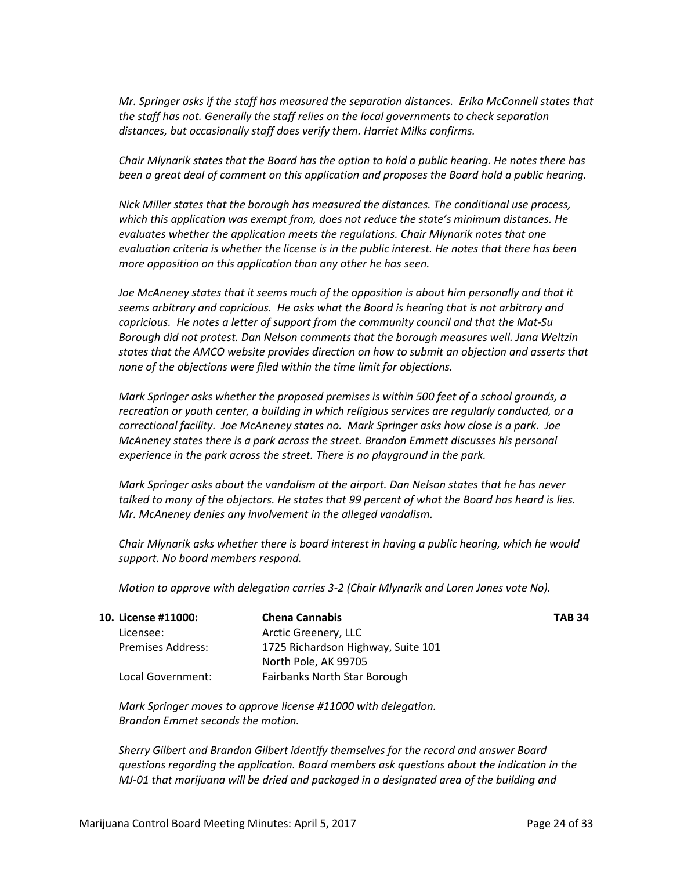*Mr. Springer asks if the staff has measured the separation distances. Erika McConnell states that the staff has not. Generally the staff relies on the local governments to check separation distances, but occasionally staff does verify them. Harriet Milks confirms.*

*Chair Mlynarik states that the Board has the option to hold a public hearing. He notes there has been a great deal of comment on this application and proposes the Board hold a public hearing.*

*Nick Miller states that the borough has measured the distances. The conditional use process, which this application was exempt from, does not reduce the state's minimum distances. He evaluates whether the application meets the regulations. Chair Mlynarik notes that one evaluation criteria is whether the license is in the public interest. He notes that there has been more opposition on this application than any other he has seen.*

*Joe McAneney states that it seems much of the opposition is about him personally and that it seems arbitrary and capricious. He asks what the Board is hearing that is not arbitrary and capricious. He notes a letter of support from the community council and that the Mat-Su Borough did not protest. Dan Nelson comments that the borough measures well. Jana Weltzin states that the AMCO website provides direction on how to submit an objection and asserts that none of the objections were filed within the time limit for objections.*

*Mark Springer asks whether the proposed premises is within 500 feet of a school grounds, a recreation or youth center, a building in which religious services are regularly conducted, or a correctional facility. Joe McAneney states no. Mark Springer asks how close is a park. Joe McAneney states there is a park across the street. Brandon Emmett discusses his personal experience in the park across the street. There is no playground in the park.*

*Mark Springer asks about the vandalism at the airport. Dan Nelson states that he has never talked to many of the objectors. He states that 99 percent of what the Board has heard is lies. Mr. McAneney denies any involvement in the alleged vandalism.*

*Chair Mlynarik asks whether there is board interest in having a public hearing, which he would support. No board members respond.*

*Motion to approve with delegation carries 3-2 (Chair Mlynarik and Loren Jones vote No).* 

| 10. License #11000:      | <b>Chena Cannabis</b>              | <b>TAB 34</b> |
|--------------------------|------------------------------------|---------------|
| Licensee:                | Arctic Greenery, LLC               |               |
| <b>Premises Address:</b> | 1725 Richardson Highway, Suite 101 |               |
|                          | North Pole, AK 99705               |               |
| Local Government:        | Fairbanks North Star Borough       |               |

*Mark Springer moves to approve license #11000 with delegation. Brandon Emmet seconds the motion.*

*Sherry Gilbert and Brandon Gilbert identify themselves for the record and answer Board questions regarding the application. Board members ask questions about the indication in the MJ-01 that marijuana will be dried and packaged in a designated area of the building and*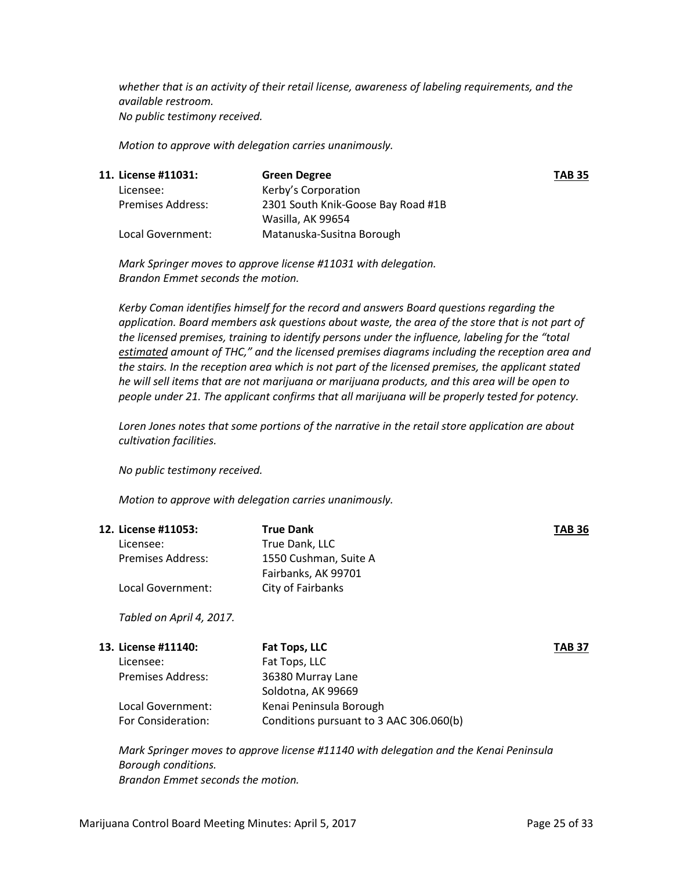*whether that is an activity of their retail license, awareness of labeling requirements, and the available restroom. No public testimony received.*

*Motion to approve with delegation carries unanimously.* 

| 11. License #11031:      | <b>Green Degree</b>                | <b>TAB 35</b> |
|--------------------------|------------------------------------|---------------|
| Licensee:                | Kerby's Corporation                |               |
| <b>Premises Address:</b> | 2301 South Knik-Goose Bay Road #1B |               |
|                          | Wasilla, AK 99654                  |               |
| Local Government:        | Matanuska-Susitna Borough          |               |

*Mark Springer moves to approve license #11031 with delegation. Brandon Emmet seconds the motion.*

*Kerby Coman identifies himself for the record and answers Board questions regarding the application. Board members ask questions about waste, the area of the store that is not part of the licensed premises, training to identify persons under the influence, labeling for the "total estimated amount of THC," and the licensed premises diagrams including the reception area and the stairs. In the reception area which is not part of the licensed premises, the applicant stated he will sell items that are not marijuana or marijuana products, and this area will be open to people under 21. The applicant confirms that all marijuana will be properly tested for potency.*

*Loren Jones notes that some portions of the narrative in the retail store application are about cultivation facilities.*

*No public testimony received.*

*Motion to approve with delegation carries unanimously.* 

| 12. License #11053:<br>Licensee:<br>Premises Address:<br>Local Government: | <b>True Dank</b><br>True Dank, LLC<br>1550 Cushman, Suite A<br>Fairbanks, AK 99701<br>City of Fairbanks | TAB 36 |
|----------------------------------------------------------------------------|---------------------------------------------------------------------------------------------------------|--------|
| Tabled on April 4, 2017.                                                   |                                                                                                         |        |
| 13. License #11140:                                                        | Fat Tops, LLC                                                                                           | TAB 37 |
| Licensee:                                                                  | Fat Tops, LLC                                                                                           |        |
| Premises Address:                                                          | 36380 Murray Lane<br>Soldotna, AK 99669                                                                 |        |
| Local Government:                                                          | Kenai Peninsula Borough                                                                                 |        |

*Mark Springer moves to approve license #11140 with delegation and the Kenai Peninsula Borough conditions. Brandon Emmet seconds the motion.*

For Consideration: Conditions pursuant to 3 AAC 306.060(b)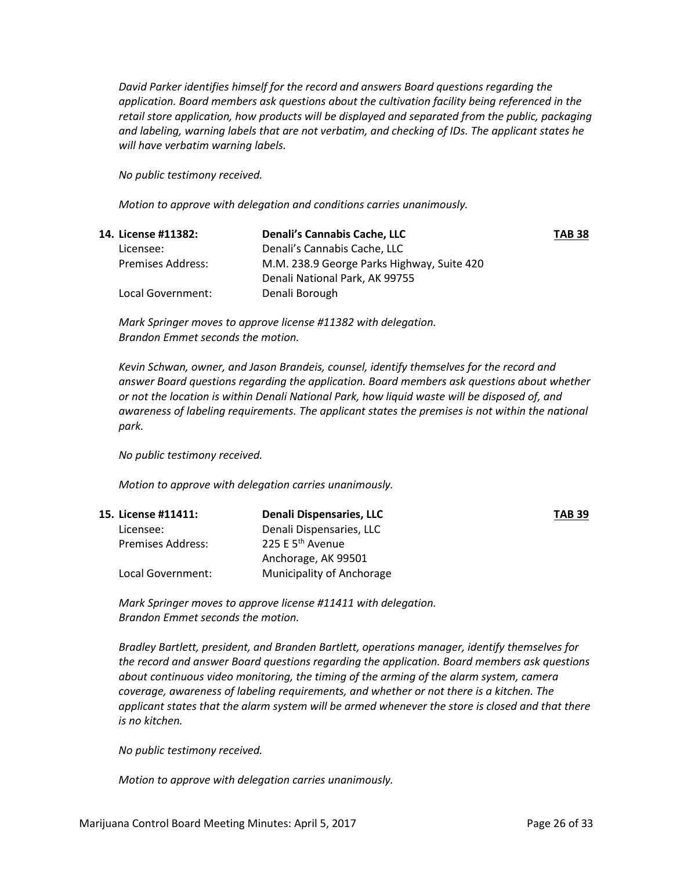*David Parker identifies himself for the record and answers Board questions regarding the application. Board members ask questions about the cultivation facility being referenced in the retail store application, how products will be displayed and separated from the public, packaging and labeling, warning labels that are not verbatim, and checking of IDs. The applicant states he will have verbatim warning labels.* 

*No public testimony received.*

*Motion to approve with delegation and conditions carries unanimously.*

| 14. License #11382:      | <b>Denali's Cannabis Cache, LLC</b>        | <b>TAB 38</b> |
|--------------------------|--------------------------------------------|---------------|
| Licensee:                | Denali's Cannabis Cache, LLC               |               |
| <b>Premises Address:</b> | M.M. 238.9 George Parks Highway, Suite 420 |               |
|                          | Denali National Park, AK 99755             |               |
| Local Government:        | Denali Borough                             |               |

*Mark Springer moves to approve license #11382 with delegation. Brandon Emmet seconds the motion.*

*Kevin Schwan, owner, and Jason Brandeis, counsel, identify themselves for the record and answer Board questions regarding the application. Board members ask questions about whether or not the location is within Denali National Park, how liquid waste will be disposed of, and awareness of labeling requirements. The applicant states the premises is not within the national park.*

*No public testimony received.*

*Motion to approve with delegation carries unanimously.* 

| 15. License #11411:      | Denali Dispensaries, LLC     | <b>TAB 39</b> |
|--------------------------|------------------------------|---------------|
| Licensee:                | Denali Dispensaries, LLC     |               |
| <b>Premises Address:</b> | 225 E 5 <sup>th</sup> Avenue |               |
|                          | Anchorage, AK 99501          |               |
| Local Government:        | Municipality of Anchorage    |               |

*Mark Springer moves to approve license #11411 with delegation. Brandon Emmet seconds the motion.*

*Bradley Bartlett, president, and Branden Bartlett, operations manager, identify themselves for the record and answer Board questions regarding the application. Board members ask questions about continuous video monitoring, the timing of the arming of the alarm system, camera coverage, awareness of labeling requirements, and whether or not there is a kitchen. The applicant states that the alarm system will be armed whenever the store is closed and that there is no kitchen.*

*No public testimony received.*

*Motion to approve with delegation carries unanimously.*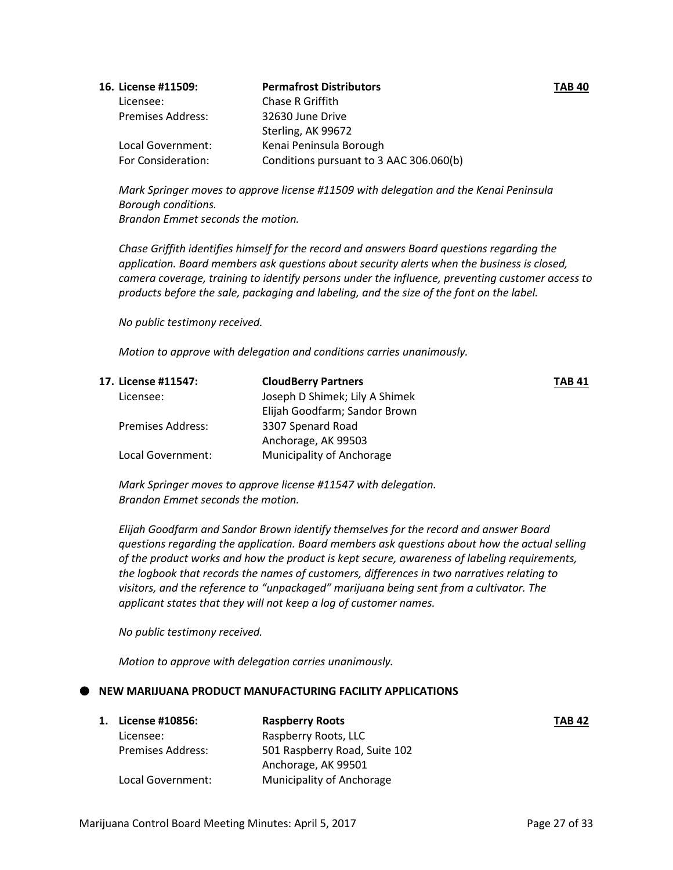| 16. License #11509:      | <b>Permafrost Distributors</b>          | <b>TAB 40</b> |
|--------------------------|-----------------------------------------|---------------|
| Licensee:                | Chase R Griffith                        |               |
| <b>Premises Address:</b> | 32630 June Drive                        |               |
|                          | Sterling, AK 99672                      |               |
| Local Government:        | Kenai Peninsula Borough                 |               |
| For Consideration:       | Conditions pursuant to 3 AAC 306.060(b) |               |

*Mark Springer moves to approve license #11509 with delegation and the Kenai Peninsula Borough conditions. Brandon Emmet seconds the motion.*

*Chase Griffith identifies himself for the record and answers Board questions regarding the application. Board members ask questions about security alerts when the business is closed, camera coverage, training to identify persons under the influence, preventing customer access to products before the sale, packaging and labeling, and the size of the font on the label.*

*No public testimony received.*

*Motion to approve with delegation and conditions carries unanimously.*

| 17. License #11547:      | <b>CloudBerry Partners</b>       | <b>TAB 41</b> |
|--------------------------|----------------------------------|---------------|
| Licensee:                | Joseph D Shimek; Lily A Shimek   |               |
|                          | Elijah Goodfarm; Sandor Brown    |               |
| <b>Premises Address:</b> | 3307 Spenard Road                |               |
|                          | Anchorage, AK 99503              |               |
| Local Government:        | <b>Municipality of Anchorage</b> |               |

*Mark Springer moves to approve license #11547 with delegation. Brandon Emmet seconds the motion.*

*Elijah Goodfarm and Sandor Brown identify themselves for the record and answer Board questions regarding the application. Board members ask questions about how the actual selling of the product works and how the product is kept secure, awareness of labeling requirements, the logbook that records the names of customers, differences in two narratives relating to visitors, and the reference to "unpackaged" marijuana being sent from a cultivator. The applicant states that they will not keep a log of customer names.*

*No public testimony received.*

*Motion to approve with delegation carries unanimously.*

## **NEW MARIJUANA PRODUCT MANUFACTURING FACILITY APPLICATIONS**

| 1. | License #10856:          | <b>Raspberry Roots</b>        | <b>TAB 42</b> |
|----|--------------------------|-------------------------------|---------------|
|    | Licensee:                | Raspberry Roots, LLC          |               |
|    | <b>Premises Address:</b> | 501 Raspberry Road, Suite 102 |               |
|    |                          | Anchorage, AK 99501           |               |
|    | Local Government:        | Municipality of Anchorage     |               |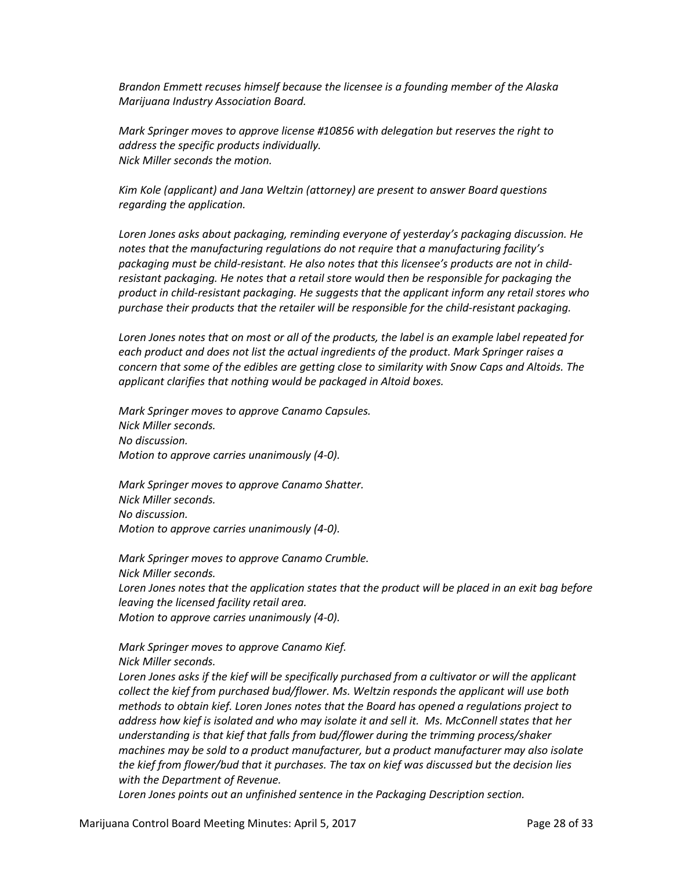*Brandon Emmett recuses himself because the licensee is a founding member of the Alaska Marijuana Industry Association Board.*

*Mark Springer moves to approve license #10856 with delegation but reserves the right to address the specific products individually. Nick Miller seconds the motion.*

*Kim Kole (applicant) and Jana Weltzin (attorney) are present to answer Board questions regarding the application.* 

*Loren Jones asks about packaging, reminding everyone of yesterday's packaging discussion. He notes that the manufacturing regulations do not require that a manufacturing facility's packaging must be child-resistant. He also notes that this licensee's products are not in childresistant packaging. He notes that a retail store would then be responsible for packaging the product in child-resistant packaging. He suggests that the applicant inform any retail stores who purchase their products that the retailer will be responsible for the child-resistant packaging.*

*Loren Jones notes that on most or all of the products, the label is an example label repeated for each product and does not list the actual ingredients of the product. Mark Springer raises a concern that some of the edibles are getting close to similarity with Snow Caps and Altoids. The applicant clarifies that nothing would be packaged in Altoid boxes.*

*Mark Springer moves to approve Canamo Capsules. Nick Miller seconds. No discussion. Motion to approve carries unanimously (4-0).*

*Mark Springer moves to approve Canamo Shatter. Nick Miller seconds. No discussion. Motion to approve carries unanimously (4-0).*

*Mark Springer moves to approve Canamo Crumble. Nick Miller seconds. Loren Jones notes that the application states that the product will be placed in an exit bag before leaving the licensed facility retail area. Motion to approve carries unanimously (4-0).*

*Mark Springer moves to approve Canamo Kief. Nick Miller seconds.*

*Loren Jones asks if the kief will be specifically purchased from a cultivator or will the applicant collect the kief from purchased bud/flower. Ms. Weltzin responds the applicant will use both methods to obtain kief. Loren Jones notes that the Board has opened a regulations project to address how kief is isolated and who may isolate it and sell it. Ms. McConnell states that her understanding is that kief that falls from bud/flower during the trimming process/shaker machines may be sold to a product manufacturer, but a product manufacturer may also isolate the kief from flower/bud that it purchases. The tax on kief was discussed but the decision lies with the Department of Revenue.* 

*Loren Jones points out an unfinished sentence in the Packaging Description section.*

Marijuana Control Board Meeting Minutes: April 5, 2017 **Page 28 of 33**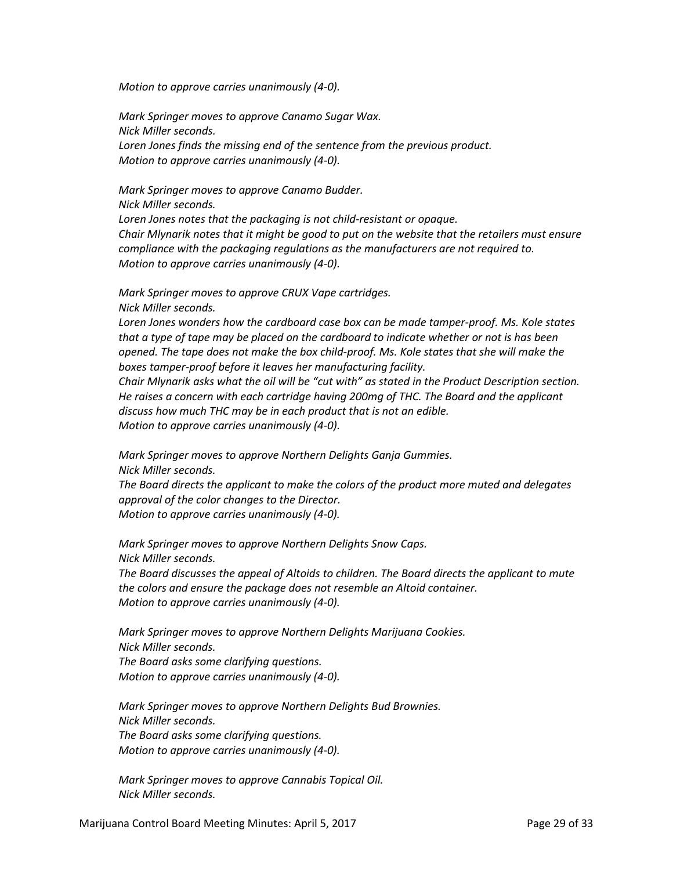*Motion to approve carries unanimously (4-0).*

*Mark Springer moves to approve Canamo Sugar Wax. Nick Miller seconds. Loren Jones finds the missing end of the sentence from the previous product. Motion to approve carries unanimously (4-0).*

*Mark Springer moves to approve Canamo Budder. Nick Miller seconds. Loren Jones notes that the packaging is not child-resistant or opaque. Chair Mlynarik notes that it might be good to put on the website that the retailers must ensure compliance with the packaging regulations as the manufacturers are not required to. Motion to approve carries unanimously (4-0).*

*Mark Springer moves to approve CRUX Vape cartridges. Nick Miller seconds.*

*Loren Jones wonders how the cardboard case box can be made tamper-proof. Ms. Kole states that a type of tape may be placed on the cardboard to indicate whether or not is has been opened. The tape does not make the box child-proof. Ms. Kole states that she will make the boxes tamper-proof before it leaves her manufacturing facility.*

*Chair Mlynarik asks what the oil will be "cut with" as stated in the Product Description section. He raises a concern with each cartridge having 200mg of THC. The Board and the applicant discuss how much THC may be in each product that is not an edible. Motion to approve carries unanimously (4-0).*

*Mark Springer moves to approve Northern Delights Ganja Gummies. Nick Miller seconds.*

*The Board directs the applicant to make the colors of the product more muted and delegates approval of the color changes to the Director.*

*Motion to approve carries unanimously (4-0).*

*Mark Springer moves to approve Northern Delights Snow Caps. Nick Miller seconds.*

*The Board discusses the appeal of Altoids to children. The Board directs the applicant to mute the colors and ensure the package does not resemble an Altoid container. Motion to approve carries unanimously (4-0).*

*Mark Springer moves to approve Northern Delights Marijuana Cookies. Nick Miller seconds. The Board asks some clarifying questions. Motion to approve carries unanimously (4-0).*

*Mark Springer moves to approve Northern Delights Bud Brownies. Nick Miller seconds. The Board asks some clarifying questions. Motion to approve carries unanimously (4-0).*

*Mark Springer moves to approve Cannabis Topical Oil. Nick Miller seconds.*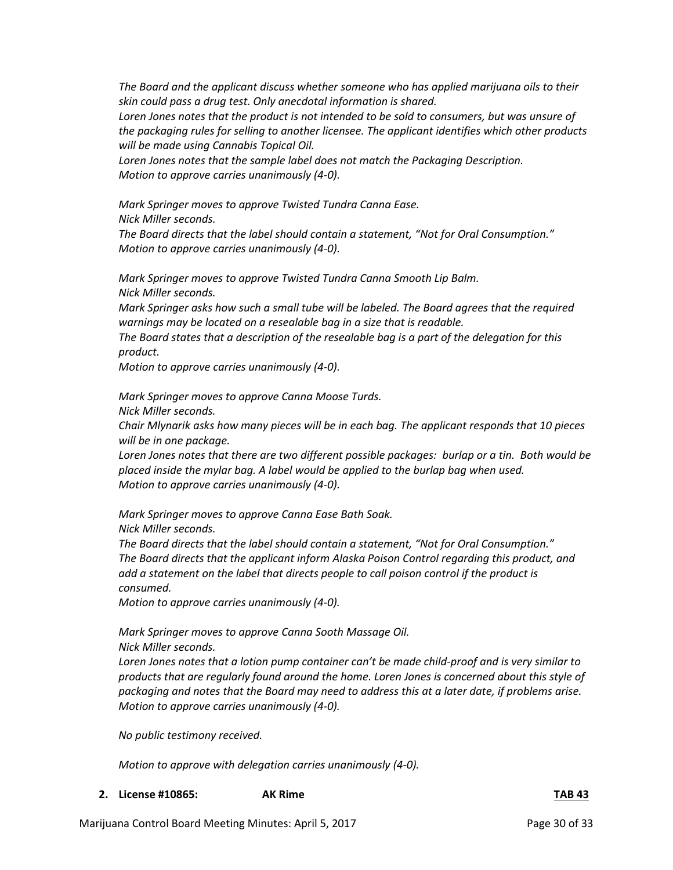*The Board and the applicant discuss whether someone who has applied marijuana oils to their skin could pass a drug test. Only anecdotal information is shared.*

*Loren Jones notes that the product is not intended to be sold to consumers, but was unsure of the packaging rules for selling to another licensee. The applicant identifies which other products will be made using Cannabis Topical Oil.*

*Loren Jones notes that the sample label does not match the Packaging Description. Motion to approve carries unanimously (4-0).*

*Mark Springer moves to approve Twisted Tundra Canna Ease. Nick Miller seconds.*

*The Board directs that the label should contain a statement, "Not for Oral Consumption." Motion to approve carries unanimously (4-0).*

*Mark Springer moves to approve Twisted Tundra Canna Smooth Lip Balm. Nick Miller seconds.*

*Mark Springer asks how such a small tube will be labeled. The Board agrees that the required warnings may be located on a resealable bag in a size that is readable.*

*The Board states that a description of the resealable bag is a part of the delegation for this product.*

*Motion to approve carries unanimously (4-0).*

*Mark Springer moves to approve Canna Moose Turds.*

*Nick Miller seconds.*

*Chair Mlynarik asks how many pieces will be in each bag. The applicant responds that 10 pieces will be in one package.*

*Loren Jones notes that there are two different possible packages: burlap or a tin. Both would be placed inside the mylar bag. A label would be applied to the burlap bag when used. Motion to approve carries unanimously (4-0).*

*Mark Springer moves to approve Canna Ease Bath Soak. Nick Miller seconds.*

*The Board directs that the label should contain a statement, "Not for Oral Consumption." The Board directs that the applicant inform Alaska Poison Control regarding this product, and add a statement on the label that directs people to call poison control if the product is consumed.*

*Motion to approve carries unanimously (4-0).*

*Mark Springer moves to approve Canna Sooth Massage Oil. Nick Miller seconds.*

*Loren Jones notes that a lotion pump container can't be made child-proof and is very similar to products that are regularly found around the home. Loren Jones is concerned about this style of packaging and notes that the Board may need to address this at a later date, if problems arise. Motion to approve carries unanimously (4-0).*

*No public testimony received.*

*Motion to approve with delegation carries unanimously (4-0).*

**2. License #10865: AK Rime TAB 43**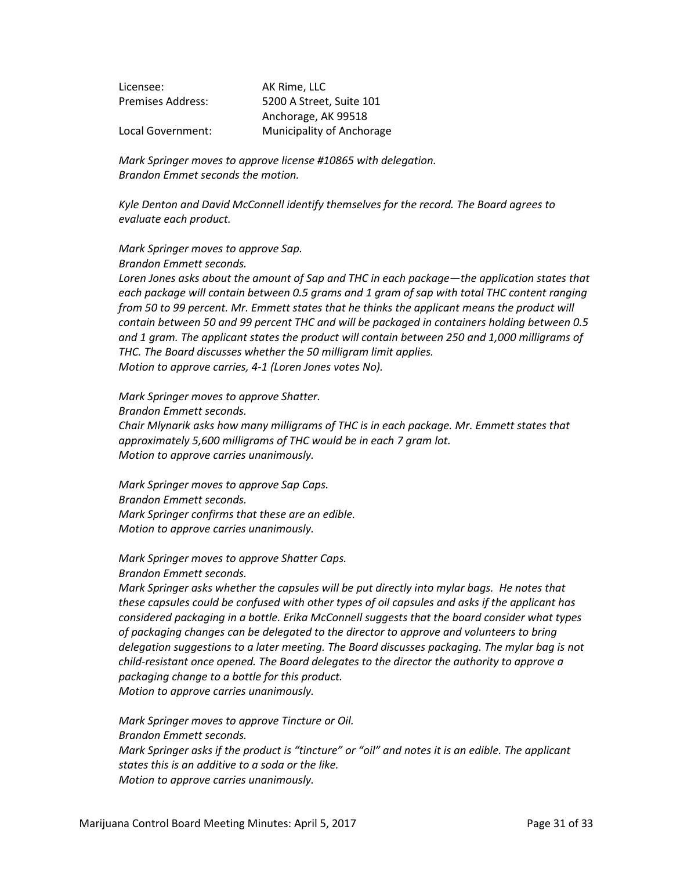| Licensee:                | AK Rime, LLC                     |
|--------------------------|----------------------------------|
| <b>Premises Address:</b> | 5200 A Street, Suite 101         |
|                          | Anchorage, AK 99518              |
| Local Government:        | <b>Municipality of Anchorage</b> |

*Mark Springer moves to approve license #10865 with delegation. Brandon Emmet seconds the motion.*

*Kyle Denton and David McConnell identify themselves for the record. The Board agrees to evaluate each product.*

#### *Mark Springer moves to approve Sap. Brandon Emmett seconds.*

*Loren Jones asks about the amount of Sap and THC in each package—the application states that each package will contain between 0.5 grams and 1 gram of sap with total THC content ranging from 50 to 99 percent. Mr. Emmett states that he thinks the applicant means the product will contain between 50 and 99 percent THC and will be packaged in containers holding between 0.5 and 1 gram. The applicant states the product will contain between 250 and 1,000 milligrams of THC. The Board discusses whether the 50 milligram limit applies. Motion to approve carries, 4-1 (Loren Jones votes No).*

*Mark Springer moves to approve Shatter.*

*Brandon Emmett seconds.*

*Chair Mlynarik asks how many milligrams of THC is in each package. Mr. Emmett states that approximately 5,600 milligrams of THC would be in each 7 gram lot. Motion to approve carries unanimously.*

*Mark Springer moves to approve Sap Caps. Brandon Emmett seconds. Mark Springer confirms that these are an edible. Motion to approve carries unanimously.*

*Mark Springer moves to approve Shatter Caps. Brandon Emmett seconds.*

*Mark Springer asks whether the capsules will be put directly into mylar bags. He notes that these capsules could be confused with other types of oil capsules and asks if the applicant has considered packaging in a bottle. Erika McConnell suggests that the board consider what types of packaging changes can be delegated to the director to approve and volunteers to bring delegation suggestions to a later meeting. The Board discusses packaging. The mylar bag is not child-resistant once opened. The Board delegates to the director the authority to approve a packaging change to a bottle for this product. Motion to approve carries unanimously.*

*Mark Springer moves to approve Tincture or Oil. Brandon Emmett seconds. Mark Springer asks if the product is "tincture" or "oil" and notes it is an edible. The applicant states this is an additive to a soda or the like. Motion to approve carries unanimously.*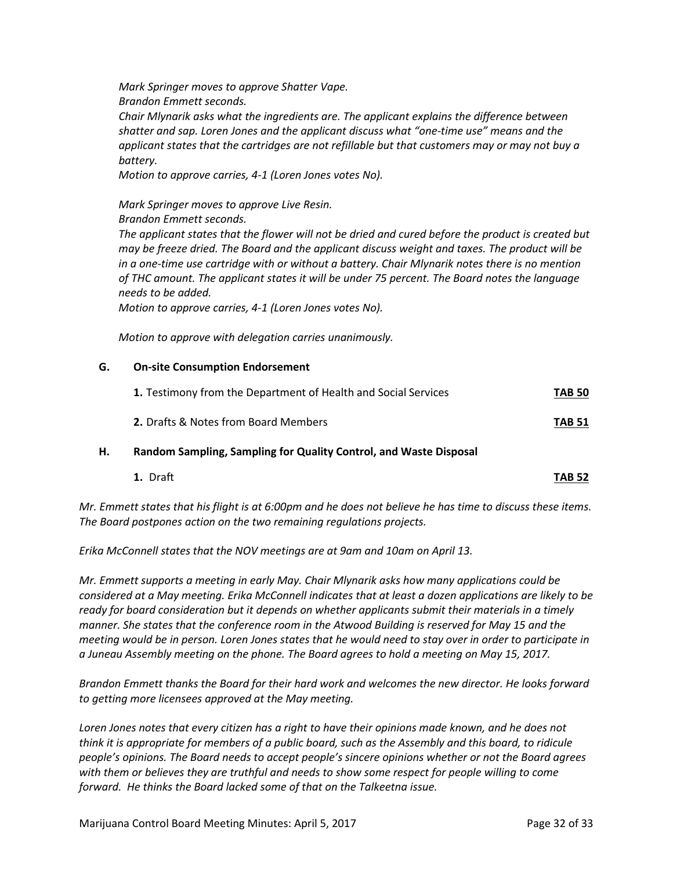*Mark Springer moves to approve Shatter Vape. Brandon Emmett seconds.*

*Chair Mlynarik asks what the ingredients are. The applicant explains the difference between shatter and sap. Loren Jones and the applicant discuss what "one-time use" means and the applicant states that the cartridges are not refillable but that customers may or may not buy a battery.*

*Motion to approve carries, 4-1 (Loren Jones votes No).*

*Mark Springer moves to approve Live Resin.*

*Brandon Emmett seconds.*

*The applicant states that the flower will not be dried and cured before the product is created but may be freeze dried. The Board and the applicant discuss weight and taxes. The product will be in a one-time use cartridge with or without a battery. Chair Mlynarik notes there is no mention of THC amount. The applicant states it will be under 75 percent. The Board notes the language needs to be added.*

*Motion to approve carries, 4-1 (Loren Jones votes No).*

*Motion to approve with delegation carries unanimously.*

## **G. On-site Consumption Endorsement**

| 1. Testimony from the Department of Health and Social Services | <b>TAB 50</b> |
|----------------------------------------------------------------|---------------|
| <b>2.</b> Drafts & Notes from Board Members                    | <b>TAB 51</b> |

## **H. Random Sampling, Sampling for Quality Control, and Waste Disposal**

**1.** Draft **TAB 52**

*Mr. Emmett states that his flight is at 6:00pm and he does not believe he has time to discuss these items. The Board postpones action on the two remaining regulations projects.*

*Erika McConnell states that the NOV meetings are at 9am and 10am on April 13.*

*Mr. Emmett supports a meeting in early May. Chair Mlynarik asks how many applications could be considered at a May meeting. Erika McConnell indicates that at least a dozen applications are likely to be ready for board consideration but it depends on whether applicants submit their materials in a timely manner. She states that the conference room in the Atwood Building is reserved for May 15 and the meeting would be in person. Loren Jones states that he would need to stay over in order to participate in a Juneau Assembly meeting on the phone. The Board agrees to hold a meeting on May 15, 2017.*

*Brandon Emmett thanks the Board for their hard work and welcomes the new director. He looks forward to getting more licensees approved at the May meeting.*

*Loren Jones notes that every citizen has a right to have their opinions made known, and he does not think it is appropriate for members of a public board, such as the Assembly and this board, to ridicule people's opinions. The Board needs to accept people's sincere opinions whether or not the Board agrees with them or believes they are truthful and needs to show some respect for people willing to come forward. He thinks the Board lacked some of that on the Talkeetna issue.*